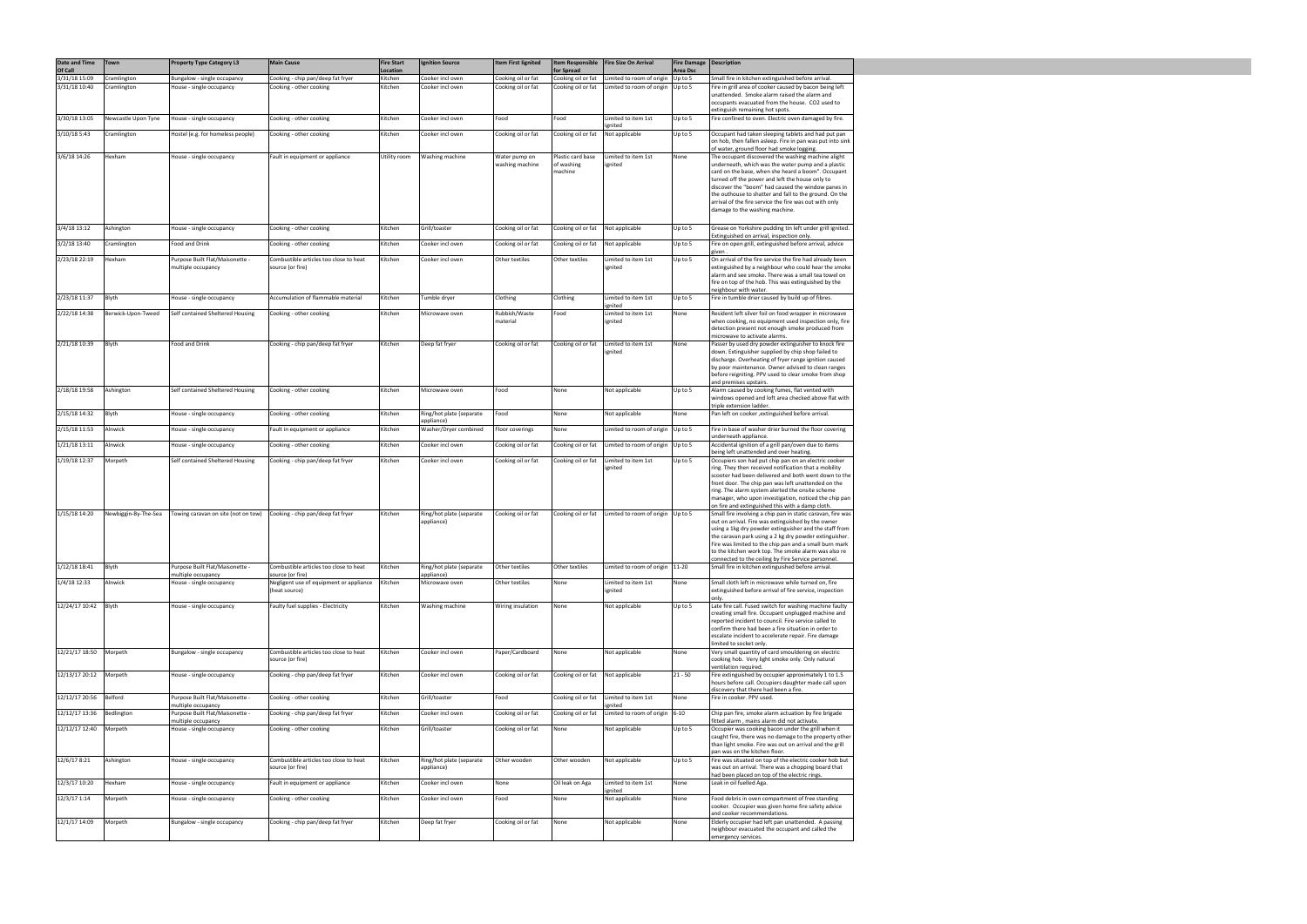| Date and Time            | Town                 | <b>Property Type Category L3</b>                      | <b>Main Cause</b>                                           | <b>Fire Start</b>          | <b>Ignition Source</b>              | Item First lignited              | Item Responsible                 | Fire Size On Arrival                | <b>Fire Damage</b>  | Description                                                                                                      |
|--------------------------|----------------------|-------------------------------------------------------|-------------------------------------------------------------|----------------------------|-------------------------------------|----------------------------------|----------------------------------|-------------------------------------|---------------------|------------------------------------------------------------------------------------------------------------------|
| Of Call<br>3/31/18 15:09 | Cramlington          | Bungalow - single occupancy                           | Cooking - chip pan/deep fat fryer                           | <b>Location</b><br>Kitchen | Cooker incl oven                    | Cooking oil or fat               | for Spread<br>Cooking oil or fat | Limited to room of origin           | Area Dsc<br>Up to 5 | Small fire in kitchen extinguished before arrival.                                                               |
| 3/31/18 10:40            | Cramlington          | House - single occupancy                              | Cooking - other cooking                                     | Kitchen                    | Cooker incl oven                    | Cooking oil or fat               | Cooking oil or fat               | Limited to room of origin           | Up to 5             | Fire in grill area of cooker caused by bacon being left                                                          |
|                          |                      |                                                       |                                                             |                            |                                     |                                  |                                  |                                     |                     | unattended. Smoke alarm raised the alarm and                                                                     |
|                          |                      |                                                       |                                                             |                            |                                     |                                  |                                  |                                     |                     | occupants evacuated from the house. CO2 used to<br>extinguish remaining hot spots.                               |
| 3/30/18 13:05            | Newcastle Upon Tyne  | House - single occupancy                              | Cooking - other cooking                                     | Kitchen                    | Cooker incl oven                    | Food                             | Food                             | Limited to item 1st                 | Up to 5             | Fire confined to oven. Electric oven damaged by fire.                                                            |
| 3/10/18 5:43             | Cramlington          | Hostel (e.g. for homeless people)                     | Cooking - other cooking                                     | Kitchen                    | Cooker incl oven                    | Cooking oil or fat               | Cooking oil or fat               | ignited<br>Not applicable           | Up to 5             | Occupant had taken sleeping tablets and had put pan                                                              |
|                          |                      |                                                       |                                                             |                            |                                     |                                  |                                  |                                     |                     | on hob, then fallen asleep. Fire in pan was put into sink<br>of water, ground floor had smoke logging.           |
| 3/6/18 14:26             | Hexham               | House - single occupancy                              | Fault in equipment or appliance                             | Utility room               | Washing machine                     | Water pump on<br>washing machine | Plastic card base<br>of washing  | Limited to item 1st<br>ignited      | None                | The occupant discovered the washing machine alight<br>underneath, which was the water pump and a plastic         |
|                          |                      |                                                       |                                                             |                            |                                     |                                  | machine                          |                                     |                     | card on the base, when she heard a boom". Occupant                                                               |
|                          |                      |                                                       |                                                             |                            |                                     |                                  |                                  |                                     |                     | turned off the power and left the house only to<br>discover the "boom" had caused the window panes in            |
|                          |                      |                                                       |                                                             |                            |                                     |                                  |                                  |                                     |                     | the outhouse to shatter and fall to the ground. On the                                                           |
|                          |                      |                                                       |                                                             |                            |                                     |                                  |                                  |                                     |                     | arrival of the fire service the fire was out with only<br>damage to the washing machine.                         |
|                          |                      |                                                       |                                                             |                            |                                     |                                  |                                  |                                     |                     |                                                                                                                  |
| 3/4/18 13:12             | Ashington            | House - single occupancy                              | Cooking - other cooking                                     | Kitchen                    | Grill/toaster                       | Cooking oil or fat               | Cooking oil or fat               | Not applicable                      | Up to 5             | Grease on Yorkshire pudding tin left under grill ignited.                                                        |
| 3/2/18 13:40             | Cramlington          | Food and Drink                                        | Cooking - other cooking                                     | Kitchen                    | Cooker incl oven                    | Cooking oil or fat               | Cooking oil or fat               | Not applicable                      | Up to 5             | Extinguished on arrival, inspection only.<br>Fire on open grill, extinguished before arrival, advice             |
|                          |                      |                                                       |                                                             |                            |                                     |                                  |                                  |                                     |                     | given.                                                                                                           |
| 2/23/18 22:19            | Hexham               | Purpose Built Flat/Maisonette -<br>multiple occupancy | Combustible articles too close to heat<br>source (or fire)  | Kitchen                    | Cooker incl oven                    | Other textiles                   | Other textiles                   | Limited to item 1st<br>ignited      | Up to 5             | On arrival of the fire service the fire had already been<br>extinguished by a neighbour who could hear the smoke |
|                          |                      |                                                       |                                                             |                            |                                     |                                  |                                  |                                     |                     | alarm and see smoke. There was a small tea towel on                                                              |
|                          |                      |                                                       |                                                             |                            |                                     |                                  |                                  |                                     |                     | fire on top of the hob. This was extinguished by the<br>neighbour with water.                                    |
| 2/23/18 11:37            | Blyth                | House - single occupancy                              | Accumulation of flammable material                          | Kitchen                    | Tumble dryer                        | Clothing                         | Clothing                         | Limited to item 1st                 | Up to 5             | Fire in tumble drier caused by build up of fibres.                                                               |
| 2/22/18 14:38            | Berwick-Upon-Tweed   | Self contained Sheltered Housing                      | Cooking - other cooking                                     | Kitchen                    | Microwave oven                      | Rubbish/Waste                    | Food                             | ignited<br>Limited to item 1st      | None                | Resident left silver foil on food wrapper in microwave                                                           |
|                          |                      |                                                       |                                                             |                            |                                     | material                         |                                  | ignited                             |                     | when cooking, no equipment used inspection only, fire                                                            |
|                          |                      |                                                       |                                                             |                            |                                     |                                  |                                  |                                     |                     | detection present not enough smoke produced from<br>microwave to activate alarms.                                |
| 2/21/18 10:39            | Blyth                | Food and Drink                                        | Cooking - chip pan/deep fat fryer                           | Kitchen                    | Deep fat fryer                      | Cooking oil or fat               | Cooking oil or fat               | Limited to item 1st                 | None                | Passer by used dry powder extinguisher to knock fire                                                             |
|                          |                      |                                                       |                                                             |                            |                                     |                                  |                                  | ignited                             |                     | down. Extinguisher supplied by chip shop failed to<br>discharge. Overheating of fryer range ignition caused      |
|                          |                      |                                                       |                                                             |                            |                                     |                                  |                                  |                                     |                     | by poor maintenance. Owner advised to clean ranges                                                               |
|                          |                      |                                                       |                                                             |                            |                                     |                                  |                                  |                                     |                     | before reigniting. PPV used to clear smoke from shop<br>and premises upstairs.                                   |
| 2/18/18 19:58            | Ashington            | Self contained Sheltered Housing                      | Cooking - other cooking                                     | Kitchen                    | Microwave oven                      | Food                             | None                             | Not applicable                      | Up to 5             | Alarm caused by cooking fumes, flat vented with                                                                  |
|                          |                      |                                                       |                                                             |                            |                                     |                                  |                                  |                                     |                     | windows opened and loft area checked above flat with<br>triple extension ladder.                                 |
| 2/15/18 14:32            | Blyth                | House - single occupancy                              | Cooking - other cooking                                     | Kitchen                    | Ring/hot plate (separate            | Food                             | None                             | Not applicable                      | None                | Pan left on cooker , extinguished before arrival.                                                                |
| 2/15/18 11:53            | Alnwick              | House - single occupancy                              | Fault in equipment or appliance                             | Kitchen                    | appliance)<br>Washer/Dryer combined | Floor coverings                  | None                             | Limited to room of origin Up to 5   |                     | Fire in base of washer drier burned the floor covering                                                           |
| 1/21/18 13:11            | Alnwick              | House - single occupancy                              | Cooking - other cooking                                     | Kitchen                    | Cooker incl oven                    | Cooking oil or fat               | Cooking oil or fat               | Limited to room of origin           | Up to 5             | underneath appliance.<br>Accidental ignition of a grill pan/oven due to items                                    |
|                          |                      |                                                       |                                                             |                            |                                     |                                  |                                  |                                     |                     | being left unattended and over heating.                                                                          |
| 1/19/18 12:37            | Morpeth              | Self contained Sheltered Housing                      | Cooking - chip pan/deep fat fryer                           | Kitchen                    | Cooker incl oven                    | Cooking oil or fat               | Cooking oil or fat               | Limited to item 1st<br>ignited      | Up to 5             | Occupiers son had put chip pan on an electric cooker<br>ring. They then received notification that a mobility    |
|                          |                      |                                                       |                                                             |                            |                                     |                                  |                                  |                                     |                     | scooter had been delivered and both went down to the                                                             |
|                          |                      |                                                       |                                                             |                            |                                     |                                  |                                  |                                     |                     | front door. The chip pan was left unattended on the<br>ring. The alarm system alerted the onsite scheme          |
|                          |                      |                                                       |                                                             |                            |                                     |                                  |                                  |                                     |                     | manager, who upon investigation, noticed the chip pan                                                            |
| 1/15/18 14:20            | Newbiggin-By-The-Sea | Towing caravan on site (not on tow)                   | Cooking - chip pan/deep fat fryer                           | Kitchen                    | Ring/hot plate (separate            | Cooking oil or fat               | Cooking oil or fat               | Limited to room of origin Up to 5   |                     | on fire and extinguished this with a damp cloth.<br>Small fire involving a chip pan in static caravan, fire was  |
|                          |                      |                                                       |                                                             |                            | appliance)                          |                                  |                                  |                                     |                     | out on arrival. Fire was extinguished by the owner                                                               |
|                          |                      |                                                       |                                                             |                            |                                     |                                  |                                  |                                     |                     | using a 1kg dry powder extinguisher and the staff from<br>the caravan park using a 2 kg dry powder extinguisher. |
|                          |                      |                                                       |                                                             |                            |                                     |                                  |                                  |                                     |                     | Fire was limited to the chip pan and a small burn mark                                                           |
|                          |                      |                                                       |                                                             |                            |                                     |                                  |                                  |                                     |                     | to the kitchen work top. The smoke alarm was also re<br>connected to the ceiling by Fire Service personnel.      |
| 1/12/18 18:41            | Blyth                | Purpose Built Flat/Maisonette -                       | Combustible articles too close to heat                      | Kitchen                    | Ring/hot plate (separate            | Other textiles                   | Other textiles                   | Limited to room of origin   11-20   |                     | Small fire in kitchen extinguished before arrival.                                                               |
| 1/4/18 12:33             | Alnwick              | multiple occupancy<br>House - single occupancy        | source (or fire)<br>Negligent use of equipment or appliance | Kitchen                    | appliance)<br>Microwave oven        | Other textiles                   | None                             | Limited to item 1st                 | None                | Small cloth left in microwave while turned on, fire                                                              |
|                          |                      |                                                       | (heat source)                                               |                            |                                     |                                  |                                  | ignited                             |                     | extinguished before arrival of fire service, inspection                                                          |
| 12/24/17 10:42           | Blyth                | House - single occupancy                              | Faulty fuel supplies - Electricity                          | Kitchen                    | Washing machine                     | Wiring insulation                | None                             | Not applicable                      | Up to 5             | Late fire call. Fused switch for washing machine faulty                                                          |
|                          |                      |                                                       |                                                             |                            |                                     |                                  |                                  |                                     |                     | creating small fire. Occupant unplugged machine and                                                              |
|                          |                      |                                                       |                                                             |                            |                                     |                                  |                                  |                                     |                     | reported incident to council. Fire service called to<br>confirm there had been a fire situation in order to      |
|                          |                      |                                                       |                                                             |                            |                                     |                                  |                                  |                                     |                     | escalate incident to accelerate repair. Fire damage                                                              |
| 12/21/17 18:50           | Morpeth              | Bungalow - single occupancy                           | Combustible articles too close to heat                      | Kitchen                    | Cooker incl oven                    | Paper/Cardboard                  | None                             | Not applicable                      | None                | limited to socket only.<br>Very small quantity of card smouldering on electric                                   |
|                          |                      |                                                       | source (or fire)                                            |                            |                                     |                                  |                                  |                                     |                     | cooking hob. Very light smoke only. Only natural<br>ventilation required.                                        |
| 12/13/17 20:12           | Morpeth              | House - single occupancy                              | Cooking - chip pan/deep fat fryer                           | Kitchen                    | Cooker incl oven                    | Cooking oil or fat               | Cooking oil or fat               | Not applicable                      | $21 - 50$           | Fire extinguished by occupier approximately 1 to 1.5                                                             |
|                          |                      |                                                       |                                                             |                            |                                     |                                  |                                  |                                     |                     | hours before call. Occupiers daughter made call upon<br>discovery that there had been a fire.                    |
| 12/12/17 20:56           | Belford              | Purpose Built Flat/Maisonette -                       | Cooking - other cooking                                     | Kitchen                    | Grill/toaster                       | Food                             | Cooking oil or fat               | Limited to item 1st                 | None                | Fire in cooker. PPV used.                                                                                        |
| 12/12/17 13:36           | Bedlington           | multiple occupancy<br>Purpose Built Flat/Maisonette - | Cooking - chip pan/deep fat fryer                           | Kitchen                    | Cooker incl oven                    | Cooking oil or fat               | Cooking oil or fat               | gnited<br>Limited to room of origin | $6 - 10$            | Chip pan fire, smoke alarm actuation by fire brigade                                                             |
|                          |                      | multiple occupancy                                    |                                                             |                            |                                     |                                  |                                  |                                     |                     | fitted alarm, mains alarm did not activate.                                                                      |
| 12/12/17 12:40           | Morpeth              | House - single occupancy                              | Cooking - other cooking                                     | Kitchen                    | Grill/toaster                       | Cooking oil or fat               | None                             | Not applicable                      | Up to 5             | Occupier was cooking bacon under the grill when it<br>caught fire, there was no damage to the property other     |
|                          |                      |                                                       |                                                             |                            |                                     |                                  |                                  |                                     |                     | than light smoke. Fire was out on arrival and the grill                                                          |
| 12/6/17 8:21             | Ashington            | House - single occupancy                              | Combustible articles too close to heat                      | Kitchen                    | Ring/hot plate (separate            | Other wooden                     | Other wooden                     | Not applicable                      | Up to 5             | pan was on the kitchen floor.<br>Fire was situated on top of the electric cooker hob but                         |
|                          |                      |                                                       | source (or fire)                                            |                            | appliance)                          |                                  |                                  |                                     |                     | was out on arrival. There was a chopping board that                                                              |
| 12/3/17 10:20            | Hexham               | House - single occupancy                              | Fault in equipment or appliance                             | Kitchen                    | Cooker incl oven                    | None                             | Oil leak on Aga                  | Limited to item 1st                 | None                | had been placed on top of the electric rings.<br>Leak in oil fuelled Aga.                                        |
|                          |                      |                                                       |                                                             |                            |                                     |                                  |                                  | ignited                             |                     |                                                                                                                  |
| 12/3/17 1:14             | Morpeth              | House - single occupancy                              | Cooking - other cooking                                     | Kitchen                    | Cooker incl oven                    | Food                             | None                             | Not applicable                      | None                | Food debris in oven compartment of free standing<br>cooker. Occupier was given home fire safety advice           |
| 12/1/17 14:09            |                      |                                                       |                                                             |                            |                                     |                                  |                                  |                                     |                     | and cooker recommendations.                                                                                      |
|                          | Morpeth              | Bungalow - single occupancy                           | Cooking - chip pan/deep fat fryer                           | Kitchen                    | Deep fat fryer                      | Cooking oil or fat               | None                             | Not applicable                      | None                | Elderly occupier had left pan unattended. A passing<br>neighbour evacuated the occupant and called the           |
|                          |                      |                                                       |                                                             |                            |                                     |                                  |                                  |                                     |                     | emergency services.                                                                                              |

<u> 1989 - Johann Stein, marwolaethau a bhann an t-</u>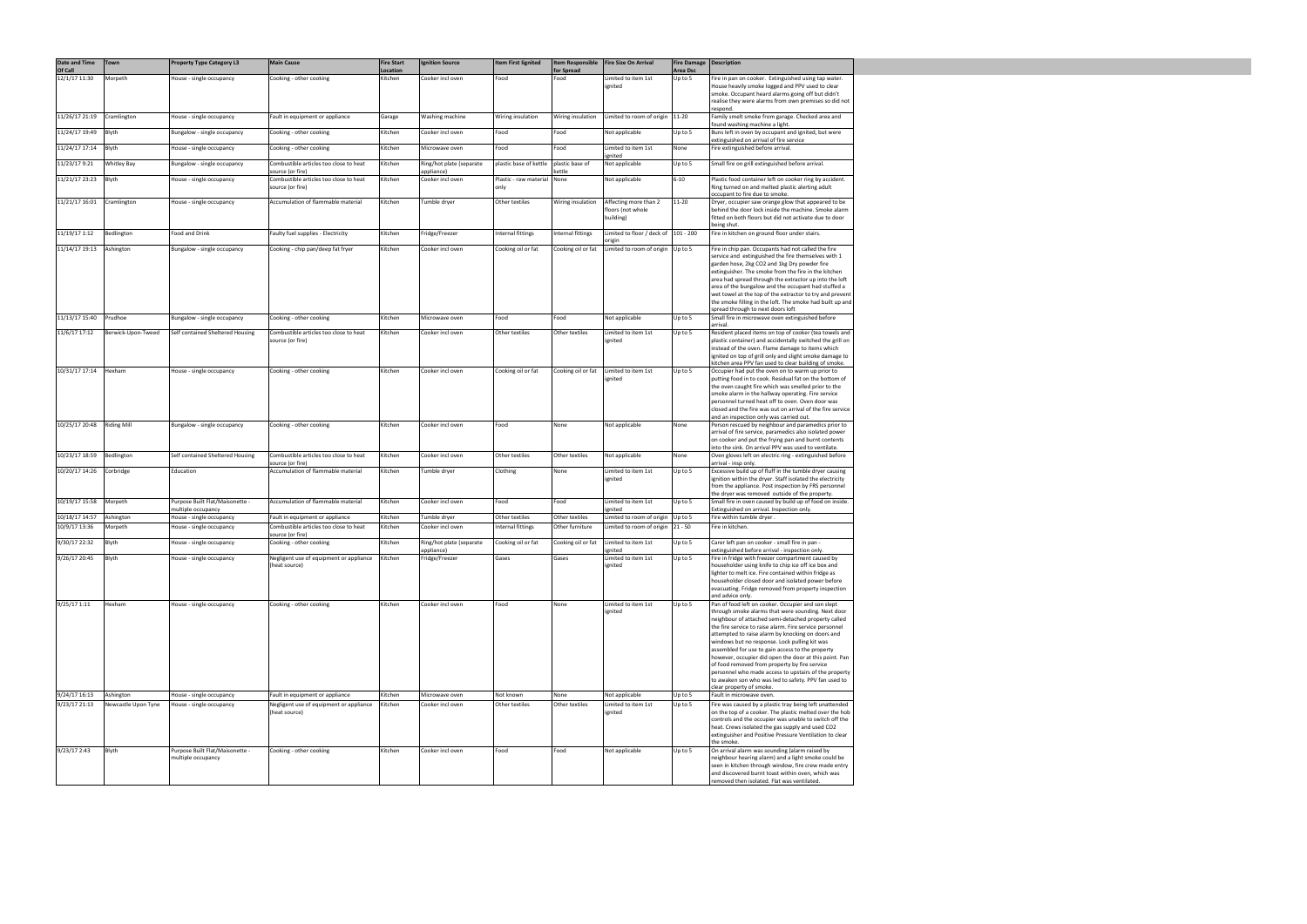| Date and Time<br>Of Call | Town                | <b>Property Type Category L3</b>                      | <b>Main Cause</b>                                          | <b>Fire Start</b><br>Location | <b>Ignition Source</b>                 | <b>Item First lignited</b>     | <b>Item Responsible</b><br>for Spread | <b>Fire Size On Arrival</b>                             | <b>Fire Damage   Description</b><br>Area Dsc |                                                                                                                                                                                                                                                                                                                                                                                                                                                                                                                                                                                                                                              |
|--------------------------|---------------------|-------------------------------------------------------|------------------------------------------------------------|-------------------------------|----------------------------------------|--------------------------------|---------------------------------------|---------------------------------------------------------|----------------------------------------------|----------------------------------------------------------------------------------------------------------------------------------------------------------------------------------------------------------------------------------------------------------------------------------------------------------------------------------------------------------------------------------------------------------------------------------------------------------------------------------------------------------------------------------------------------------------------------------------------------------------------------------------------|
| 12/1/17 11:30            | Morpeth             | House - single occupancy                              | Cooking - other cooking                                    | Kitchen                       | Cooker incl oven                       | Food                           | Food                                  | Limited to item 1st<br>ignited                          | Up to 5                                      | Fire in pan on cooker. Extinguished using tap water.<br>House heavily smoke logged and PPV used to clear<br>smoke. Occupant heard alarms going off but didn't                                                                                                                                                                                                                                                                                                                                                                                                                                                                                |
|                          |                     |                                                       |                                                            |                               |                                        |                                |                                       |                                                         |                                              | realise they were alarms from own premises so did not<br>respond.                                                                                                                                                                                                                                                                                                                                                                                                                                                                                                                                                                            |
| 11/26/17 21:19           | Cramlington         | House - single occupancy                              | Fault in equipment or appliance                            | Garage                        | Washing machine                        | Wiring insulation              | Wiring insulation                     | Limited to room of origin   11-20                       |                                              | Family smelt smoke from garage. Checked area and<br>found washing machine a light.                                                                                                                                                                                                                                                                                                                                                                                                                                                                                                                                                           |
| 11/24/17 19:49           | Blyth               | Bungalow - single occupancy                           | Cooking - other cooking                                    | Kitchen                       | Cooker incl oven                       | Food                           | Food                                  | Not applicable                                          | Up to 5                                      | Buns left in oven by occupant and ignited, but were<br>extinguished on arrival of fire service                                                                                                                                                                                                                                                                                                                                                                                                                                                                                                                                               |
| 11/24/17 17:14           | Blyth               | House - single occupancy                              | Cooking - other cooking                                    | Kitchen                       | Microwave oven                         | Food                           | Food                                  | Limited to item 1st<br>ignited                          | None                                         | Fire extinguished before arrival.                                                                                                                                                                                                                                                                                                                                                                                                                                                                                                                                                                                                            |
| 11/23/17 9:21            | <b>Whitley Bay</b>  | Bungalow - single occupancy                           | Combustible articles too close to heat<br>source (or fire) | Kitchen                       | Ring/hot plate (separate<br>appliance) | plastic base of kettle         | plastic base of<br>cettle             | Not applicable                                          | Up to 5                                      | Small fire on grill extinguished before arrival.                                                                                                                                                                                                                                                                                                                                                                                                                                                                                                                                                                                             |
| 11/21/17 23:23           | Blyth               | House - single occupancy                              | Combustible articles too close to heat<br>source (or fire) | Kitchen                       | Cooker incl oven                       | Plastic - raw material<br>only | None                                  | Not applicable                                          | $6 - 10$                                     | Plastic food container left on cooker ring by accident.<br>Ring turned on and melted plastic alerting adult<br>occupant to fire due to smoke.                                                                                                                                                                                                                                                                                                                                                                                                                                                                                                |
| 11/21/17 16:01           | Cramlington         | House - single occupancy                              | Accumulation of flammable material                         | Kitchen                       | Tumble dryer                           | Other textiles                 | Wiring insulation                     | Affecting more than 2<br>floors (not whole<br>building) | 11-20                                        | Dryer, occupier saw orange glow that appeared to be<br>behind the door lock inside the machine. Smoke alarm<br>fitted on both floors but did not activate due to door<br>being shut.                                                                                                                                                                                                                                                                                                                                                                                                                                                         |
| 11/19/17 1:12            | Bedlington          | Food and Drink                                        | Faulty fuel supplies - Electricity                         | Kitchen                       | Fridge/Freezer                         | Internal fittings              | Internal fittings                     | Limited to floor / deck of $ 101 - 200$<br>origin       |                                              | Fire in kitchen on ground floor under stairs.                                                                                                                                                                                                                                                                                                                                                                                                                                                                                                                                                                                                |
| 11/14/17 19:13           | Ashington           | Bungalow - single occupancy                           | Cooking - chip pan/deep fat fryer                          | Kitchen                       | Cooker incl oven                       | Cooking oil or fat             | Cooking oil or fat                    | Limited to room of origin                               | Up to 5                                      | Fire in chip pan. Occupants had not called the fire<br>service and extinguished the fire themselves with 1<br>garden hose, 2kg CO2 and 1kg Dry powder fire<br>extinguisher. The smoke from the fire in the kitchen<br>area had spread through the extractor up into the loft<br>area of the bungalow and the occupant had stuffed a<br>wet towel at the top of the extractor to try and prevent<br>the smoke filling in the loft. The smoke had built up and<br>spread through to next doors loft                                                                                                                                            |
| 11/13/17 15:40           | Prudhoe             | Bungalow - single occupancy                           | Cooking - other cooking                                    | Kitchen                       | Microwave oven                         | Food                           | Food                                  | Not applicable                                          | Up to 5                                      | Small fire in microwave oven extinguished before<br>arrival.                                                                                                                                                                                                                                                                                                                                                                                                                                                                                                                                                                                 |
| 11/6/17 17:12            | Berwick-Upon-Tweed  | Self contained Sheltered Housing                      | Combustible articles too close to heat<br>source (or fire) | Kitchen                       | Cooker incl oven                       | Other textiles                 | Other textiles                        | Limited to item 1st<br>ignited                          | Up to 5                                      | Resident placed items on top of cooker (tea towels and<br>plastic container) and accidentally switched the grill on<br>instead of the oven. Flame damage to items which<br>ignited on top of grill only and slight smoke damage to<br>kitchen area PPV fan used to clear building of smoke.                                                                                                                                                                                                                                                                                                                                                  |
| 10/31/17 17:14           | Hexham              | House - single occupancy                              | Cooking - other cooking                                    | Kitchen                       | Cooker incl oven                       | Cooking oil or fat             | Cooking oil or fat                    | Limited to item 1st<br>ignited                          | Up to 5                                      | Occupier had put the oven on to warm up prior to<br>putting food in to cook. Residual fat on the bottom of<br>the oven caught fire which was smelled prior to the<br>smoke alarm in the hallway operating. Fire service<br>personnel turned heat off to oven. Oven door was<br>closed and the fire was out on arrival of the fire service<br>and an inspection only was carried out.                                                                                                                                                                                                                                                         |
| 10/25/17 20:48           | <b>Riding Mill</b>  | Bungalow - single occupancy                           | Cooking - other cooking                                    | Kitchen                       | Cooker incl oven                       | Food                           | None                                  | Not applicable                                          | None                                         | Person rescued by neighbour and paramedics prior to<br>arrival of fire service, paramedics also isolated power<br>on cooker and put the frying pan and burnt contents<br>into the sink. On arrival PPV was used to ventilate.                                                                                                                                                                                                                                                                                                                                                                                                                |
| 10/23/17 18:59           | Bedlington          | Self contained Sheltered Housing                      | Combustible articles too close to heat<br>source (or fire) | Kitchen                       | Cooker incl oven                       | Other textiles                 | Other textiles                        | Not applicable                                          | None                                         | Oven gloves left on electric ring - extinguished before<br>arrival - insp only.                                                                                                                                                                                                                                                                                                                                                                                                                                                                                                                                                              |
| 10/20/17 14:26           | Corbridge           | Education                                             | Accumulation of flammable material                         | Kitchen                       | Tumble dryer                           | Clothing                       | None                                  | Limited to item 1st<br>ignited                          | Up to 5                                      | Excessive build up of fluff in the tumble dryer causing<br>ignition within the dryer. Staff isolated the electricity<br>from the appliance. Post inspection by FRS personnel<br>the dryer was removed outside of the property.                                                                                                                                                                                                                                                                                                                                                                                                               |
| 10/19/17 15:58           | Morpeth             | Purpose Built Flat/Maisonette -<br>multiple occupancy | Accumulation of flammable material                         | Kitchen                       | Cooker incl oven                       | Food                           | Food                                  | Limited to item 1st<br>ignited                          | Up to 5                                      | Small fire in oven caused by build up of food on inside.<br>Extinguished on arrival. Inspection only.                                                                                                                                                                                                                                                                                                                                                                                                                                                                                                                                        |
| 10/18/17 14:57           | Ashington           | House - single occupancy                              | Fault in equipment or appliance                            | Kitchen                       | Tumble dryer                           | Other textiles                 | Other textiles                        | Limited to room of origin                               | Up to 5                                      | Fire within tumble dryer.                                                                                                                                                                                                                                                                                                                                                                                                                                                                                                                                                                                                                    |
| 10/9/17 13:36            | Morpeth             | House - single occupancy                              | Combustible articles too close to heat<br>source (or fire) | Kitchen                       | Cooker incl oven                       | Internal fittings              | Other furniture                       | Limited to room of origin                               | $ 21 - 50$                                   | Fire in kitchen.                                                                                                                                                                                                                                                                                                                                                                                                                                                                                                                                                                                                                             |
| 9/30/17 22:32            | Blyth               | House - single occupancy                              | Cooking - other cooking                                    | Kitchen                       | Ring/hot plate (separate<br>appliance) | Cooking oil or fat             | Cooking oil or fat                    | Limited to item 1st<br>ignited                          | Up to 5                                      | Carer left pan on cooker - small fire in pan -<br>extinguished before arrival - inspection only.                                                                                                                                                                                                                                                                                                                                                                                                                                                                                                                                             |
| 9/26/17 20:45            | <b>Blyth</b>        | House - single occupancy                              | Negligent use of equipment or appliance<br>(heat source)   | Kitchen                       | Fridge/Freezer                         | Gases                          | Gases                                 | Limited to item 1st<br>ignited                          | Up to 5                                      | Fire in fridge with freezer compartment caused by<br>householder using knife to chip ice off ice box and<br>lighter to melt ice. Fire contained within fridge as<br>householder closed door and isolated power before<br>evacuating. Fridge removed from property inspection<br>and advice only.                                                                                                                                                                                                                                                                                                                                             |
| 9/25/17 1:11             | Hexham              | House - single occupancy                              | Cooking - other cooking                                    | Kitchen                       | Cooker incl oven                       | Food                           | None                                  | Limited to item 1st<br>ignited                          | Up to 5                                      | Pan of food left on cooker. Occupier and son slept<br>through smoke alarms that were sounding. Next door<br>neighbour of attached semi-detached property called<br>the fire service to raise alarm. Fire service personnel<br>attempted to raise alarm by knocking on doors and<br>windows but no response. Lock pulling kit was<br>assembled for use to gain access to the property<br>however, occupier did open the door at this point. Pan<br>of food removed from property by fire service<br>personnel who made access to upstairs of the property<br>to awaken son who was led to safety. PPV fan used to<br>clear property of smoke. |
| 9/24/17 16:13            | Ashington           | House - single occupancy                              | Fault in equipment or appliance                            | Kitchen                       | Microwave oven                         | Not known                      | None                                  | Not applicable                                          | Up to 5                                      | Fault in microwave oven.                                                                                                                                                                                                                                                                                                                                                                                                                                                                                                                                                                                                                     |
| 9/23/17 21:13            | Newcastle Upon Tyne | House - single occupancy                              | Negligent use of equipment or appliance<br>(heat source)   | Kitchen                       | Cooker incl oven                       | Other textiles                 | Other textiles                        | Limited to item 1st<br>ignited                          | Up to 5                                      | Fire was caused by a plastic tray being left unattended<br>on the top of a cooker. The plastic melted over the hob<br>controls and the occupier was unable to switch off the<br>heat. Crews isolated the gas supply and used CO2<br>extinguisher and Positive Pressure Ventilation to clear<br>the smoke.                                                                                                                                                                                                                                                                                                                                    |
| 9/23/17 2:43             | <b>Blyth</b>        | Purpose Built Flat/Maisonette -<br>multiple occupancy | Cooking - other cooking                                    | Kitchen                       | Cooker incl oven                       | Food                           | Food                                  | Not applicable                                          | Up to 5                                      | On arrival alarm was sounding (alarm raised by<br>neighbour hearing alarm) and a light smoke could be<br>seen in kitchen through window, fire crew made entry<br>and discovered burnt toast within oven, which was<br>removed then isolated. Flat was ventilated.                                                                                                                                                                                                                                                                                                                                                                            |

 $\mathbf{I}$  , and the set of the set of the set of the set of the set of the set of the set of the set of the set of the set of the set of the set of the set of the set of the set of the set of the set of the set of the set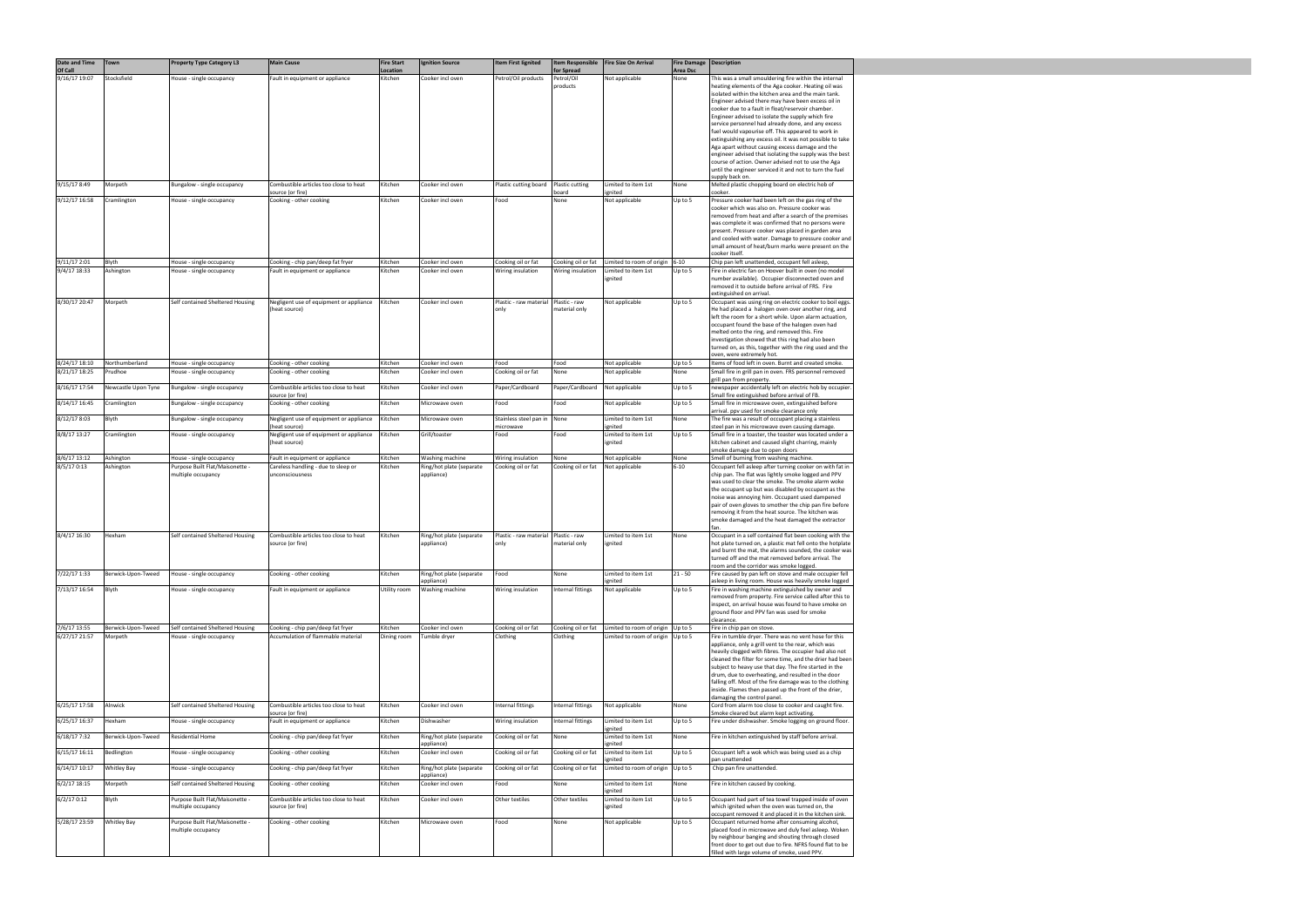| <b>Date and Time</b><br>Of Call | <b>Town</b>                   | <b>Property Type Category L3</b>                             | <b>Main Cause</b>                                                       | <b>Fire Start</b><br>Location | <b>Ignition Source</b>                 | <b>Item First lignited</b>     | <b>Item Responsible</b><br>for Spread | Fire Size On Arrival                                           | <b>Fire Damage Description</b><br><b>Area Dsc</b> |                                                                                                                      |
|---------------------------------|-------------------------------|--------------------------------------------------------------|-------------------------------------------------------------------------|-------------------------------|----------------------------------------|--------------------------------|---------------------------------------|----------------------------------------------------------------|---------------------------------------------------|----------------------------------------------------------------------------------------------------------------------|
| 9/16/17 19:07                   | Stocksfield                   | House - single occupancy                                     | Fault in equipment or appliance                                         | Kitchen                       | Cooker incl oven                       | Petrol/Oil products            | Petrol/Oil                            | Not applicable                                                 | None                                              | This was a small smouldering fire within the internal                                                                |
|                                 |                               |                                                              |                                                                         |                               |                                        |                                | products                              |                                                                |                                                   | heating elements of the Aga cooker. Heating oil was<br>isolated within the kitchen area and the main tank.           |
|                                 |                               |                                                              |                                                                         |                               |                                        |                                |                                       |                                                                |                                                   | Engineer advised there may have been excess oil in<br>cooker due to a fault in float/reservoir chamber.              |
|                                 |                               |                                                              |                                                                         |                               |                                        |                                |                                       |                                                                |                                                   | Engineer advised to isolate the supply which fire                                                                    |
|                                 |                               |                                                              |                                                                         |                               |                                        |                                |                                       |                                                                |                                                   | service personnel had already done, and any excess<br>fuel would vapourise off. This appeared to work in             |
|                                 |                               |                                                              |                                                                         |                               |                                        |                                |                                       |                                                                |                                                   | extinguishing any excess oil. It was not possible to take<br>Aga apart without causing excess damage and the         |
|                                 |                               |                                                              |                                                                         |                               |                                        |                                |                                       |                                                                |                                                   | engineer advised that isolating the supply was the best<br>course of action. Owner advised not to use the Aga        |
|                                 |                               |                                                              |                                                                         |                               |                                        |                                |                                       |                                                                |                                                   | until the engineer serviced it and not to turn the fuel                                                              |
| 9/15/17 8:49                    | Morpeth                       | Bungalow - single occupancy                                  | Combustible articles too close to heat                                  | Kitchen                       | Cooker incl oven                       | Plastic cutting board          | Plastic cutting                       | Limited to item 1st                                            | None                                              | supply back on.<br>Melted plastic chopping board on electric hob of                                                  |
| 9/12/17 16:58                   | Cramlington                   | House - single occupancy                                     | source (or fire)<br>Cooking - other cooking                             | Kitchen                       | Cooker incl oven                       | Food                           | board<br>None                         | ignited<br>Not applicable                                      | Up to 5                                           | cooker.<br>Pressure cooker had been left on the gas ring of the                                                      |
|                                 |                               |                                                              |                                                                         |                               |                                        |                                |                                       |                                                                |                                                   | cooker which was also on. Pressure cooker was<br>removed from heat and after a search of the premises                |
|                                 |                               |                                                              |                                                                         |                               |                                        |                                |                                       |                                                                |                                                   | was complete it was confirmed that no persons were                                                                   |
|                                 |                               |                                                              |                                                                         |                               |                                        |                                |                                       |                                                                |                                                   | present. Pressure cooker was placed in garden area<br>and cooled with water. Damage to pressure cooker and           |
|                                 |                               |                                                              |                                                                         |                               |                                        |                                |                                       |                                                                |                                                   | small amount of heat/burn marks were present on the<br>cooker itself.                                                |
| 9/11/17 2:01                    | Blyth                         | House - single occupancy                                     | Cooking - chip pan/deep fat fryer                                       | Kitchen                       | Cooker incl oven                       | Cooking oil or fat             | Cooking oil or fat                    | Limited to room of origin   6-10                               |                                                   | Chip pan left unattended, occupant fell asleep,                                                                      |
| 9/4/17 18:33                    | Ashington                     | House - single occupancy                                     | Fault in equipment or appliance                                         | Kitchen                       | Cooker incl oven                       | Wiring insulation              | Wiring insulation                     | Limited to item 1st<br>ignited                                 | Up to 5                                           | Fire in electric fan on Hoover built in oven (no model<br>number available). Occupier disconnected oven and          |
|                                 |                               |                                                              |                                                                         |                               |                                        |                                |                                       |                                                                |                                                   | removed it to outside before arrival of FRS. Fire<br>extinguished on arrival.                                        |
| 8/30/17 20:47                   | Morpeth                       | Self contained Sheltered Housing                             | Negligent use of equipment or appliance<br>(heat source)                | Kitchen                       | Cooker incl oven                       | Plastic - raw material<br>only | Plastic - raw<br>material only        | Not applicable                                                 | Up to 5                                           | Occupant was using ring on electric cooker to boil eggs.<br>He had placed a halogen oven over another ring, and      |
|                                 |                               |                                                              |                                                                         |                               |                                        |                                |                                       |                                                                |                                                   | left the room for a short while. Upon alarm actuation,                                                               |
|                                 |                               |                                                              |                                                                         |                               |                                        |                                |                                       |                                                                |                                                   | occupant found the base of the halogen oven had<br>melted onto the ring, and removed this. Fire                      |
|                                 |                               |                                                              |                                                                         |                               |                                        |                                |                                       |                                                                |                                                   | investigation showed that this ring had also been<br>turned on, as this, together with the ring used and the         |
| 8/24/17 18:10                   | Northumberland                | House - single occupancy                                     | Cooking - other cooking                                                 | Kitchen                       | Cooker incl oven                       | Food                           | Food                                  | Not applicable                                                 | Up to 5                                           | oven, were extremely hot.<br>Items of food left in oven. Burnt and created smoke.                                    |
| 8/21/17 18:25                   | Prudhoe                       | House - single occupancy                                     | Cooking - other cooking                                                 | Kitchen                       | Cooker incl oven                       | Cooking oil or fat             | None                                  | Not applicable                                                 | None                                              | Small fire in grill pan in oven. FRS personnel removed                                                               |
| 8/16/17 17:54                   | Newcastle Upon Tyne           | Bungalow - single occupancy                                  | Combustible articles too close to heat                                  | Kitchen                       | Cooker incl oven                       | Paper/Cardboard                | Paper/Cardboard                       | Not applicable                                                 | Up to 5                                           | grill pan from property.<br>newspaper accidentally left on electric hob by occupier.                                 |
| 8/14/17 16:45                   | Cramlington                   | Bungalow - single occupancy                                  | source (or fire)<br>Cooking - other cooking                             | Kitchen                       | Microwave oven                         | Food                           | Food                                  | Not applicable                                                 | Up to 5                                           | Small fire extinguished before arrival of FB.<br>Small fire in microwave oven, extinguished before                   |
| 8/12/17 8:03                    | Blyth                         | Bungalow - single occupancy                                  | Negligent use of equipment or appliance                                 | Kitchen                       | Microwave oven                         | Stainless steel pan in         | None                                  | Limited to item 1st                                            | None                                              | arrival. ppv used for smoke clearance only<br>The fire was a result of occupant placing a stainless                  |
|                                 |                               |                                                              | (heat source)                                                           |                               |                                        | microwave                      |                                       | ignited                                                        |                                                   | steel pan in his microwave oven causing damage.                                                                      |
| 8/8/17 13:27                    | Cramlington                   | House - single occupancy                                     | Negligent use of equipment or appliance<br>(heat source)                | Kitchen                       | Grill/toaster                          | Food                           | Food                                  | Limited to item 1st<br>ignited                                 | Up to 5                                           | Small fire in a toaster, the toaster was located under a<br>kitchen cabinet and caused slight charring, mainly       |
| 8/6/17 13:12                    | Ashington                     | House - single occupancy                                     | Fault in equipment or appliance                                         | Kitchen                       | Washing machine                        | Wiring insulation              | None                                  | Not applicable                                                 | None                                              | smoke damage due to open doors<br>Smell of burning from washing machine.                                             |
| 8/5/17 0:13                     | Ashington                     | Purpose Built Flat/Maisonette -                              | Careless handling - due to sleep or                                     | Kitchen                       | Ring/hot plate (separate               | Cooking oil or fat             | Cooking oil or fat                    | Not applicable                                                 | $6 - 10$                                          | Occupant fell asleep after turning cooker on with fat in                                                             |
|                                 |                               | multiple occupancy                                           | unconsciousness                                                         |                               | appliance)                             |                                |                                       |                                                                |                                                   | chip pan. The flat was lightly smoke logged and PPV<br>was used to clear the smoke. The smoke alarm woke             |
|                                 |                               |                                                              |                                                                         |                               |                                        |                                |                                       |                                                                |                                                   | the occupant up but was disabled by occupant as the<br>noise was annoying him. Occupant used dampened                |
|                                 |                               |                                                              |                                                                         |                               |                                        |                                |                                       |                                                                |                                                   | pair of oven gloves to smother the chip pan fire before<br>removing it from the heat source. The kitchen was         |
|                                 |                               |                                                              |                                                                         |                               |                                        |                                |                                       |                                                                |                                                   | smoke damaged and the heat damaged the extractor                                                                     |
| 8/4/17 16:30                    | Hexham                        | Self contained Sheltered Housing                             | Combustible articles too close to heat<br>source (or fire)              | Kitchen                       | Ring/hot plate (separate<br>appliance) | Plastic - raw material<br>only | Plastic - raw<br>material only        | Limited to item 1st<br>ignited                                 | None                                              | Occupant in a self contained flat been cooking with the<br>hot plate turned on, a plastic mat fell onto the hotplate |
|                                 |                               |                                                              |                                                                         |                               |                                        |                                |                                       |                                                                |                                                   | and burnt the mat, the alarms sounded, the cooker was                                                                |
|                                 |                               |                                                              |                                                                         |                               |                                        |                                |                                       |                                                                |                                                   | turned off and the mat removed before arrival. The<br>room and the corridor was smoke logged.                        |
| 7/22/17 1:33                    | Berwick-Upon-Tweed            | House - single occupancy                                     | Cooking - other cooking                                                 | Kitchen                       | Ring/hot plate (separate<br>appliance) | Food                           | None                                  | Limited to item 1st<br>ignited                                 | $21 - 50$                                         | Fire caused by pan left on stove and male occupier fell<br>asleep in living room. House was heavily smoke logged     |
| 7/13/17 16:54                   | Blyth                         | House - single occupancy                                     | Fault in equipment or appliance                                         | Utility room                  | Washing machine                        | Wiring insulation              | Internal fittings                     | Not applicable                                                 | Up to 5                                           | Fire in washing machine extinguished by owner and<br>removed from property. Fire service called after this to        |
|                                 |                               |                                                              |                                                                         |                               |                                        |                                |                                       |                                                                |                                                   | inspect, on arrival house was found to have smoke on                                                                 |
|                                 |                               |                                                              |                                                                         |                               |                                        |                                |                                       |                                                                |                                                   | ground floor and PPV fan was used for smoke<br>clearance.                                                            |
| 7/6/17 13:55<br>6/27/17 21:57   | Berwick-Upon-Tweed<br>Morpeth | Self contained Sheltered Housing<br>House - single occupancy | Cooking - chip pan/deep fat fryer<br>Accumulation of flammable material | Kitchen<br>Dining room        | Cooker incl oven<br>Tumble dryer       | Cooking oil or fat<br>Clothing | Cooking oil or fat<br>Clothing        | Limited to room of origin Up to 5<br>Limited to room of origin | Up to 5                                           | Fire in chip pan on stove.<br>Fire in tumble dryer. There was no vent hose for this                                  |
|                                 |                               |                                                              |                                                                         |                               |                                        |                                |                                       |                                                                |                                                   | appliance, only a grill vent to the rear, which was<br>heavily clogged with fibres. The occupier had also not        |
|                                 |                               |                                                              |                                                                         |                               |                                        |                                |                                       |                                                                |                                                   | cleaned the filter for some time, and the drier had been                                                             |
|                                 |                               |                                                              |                                                                         |                               |                                        |                                |                                       |                                                                |                                                   | subject to heavy use that day. The fire started in the<br>drum, due to overheating, and resulted in the door         |
|                                 |                               |                                                              |                                                                         |                               |                                        |                                |                                       |                                                                |                                                   | falling off. Most of the fire damage was to the clothing<br>inside. Flames then passed up the front of the drier,    |
| 6/25/17 17:58                   | Alnwick                       | Self contained Sheltered Housing                             | Combustible articles too close to heat                                  | Kitchen                       | Cooker incl oven                       | Internal fittings              | Internal fittings                     | Not applicable                                                 | None                                              | damaging the control panel.<br>Cord from alarm too close to cooker and caught fire.                                  |
| 6/25/17 16:37                   | Hexham                        | House - single occupancy                                     | source (or fire)<br>Fault in equipment or appliance                     | Kitchen                       | Dishwasher                             | Wiring insulation              | Internal fittings                     | Limited to item 1st                                            | Up to 5                                           | Smoke cleared but alarm kept activating.<br>Fire under dishwasher. Smoke logging on ground floor.                    |
| 6/18/17 7:32                    |                               | <b>Residential Home</b>                                      |                                                                         |                               |                                        |                                | None                                  | ignited                                                        |                                                   | Fire in kitchen extinguished by staff before arrival.                                                                |
|                                 | Berwick-Upon-Tweed            |                                                              | Cooking - chip pan/deep fat fryer                                       | Kitchen                       | Ring/hot plate (separate<br>appliance) | Cooking oil or fat             |                                       | Limited to item 1st<br>ignited                                 | None                                              |                                                                                                                      |
| 6/15/17 16:11                   | Bedlington                    | House - single occupancy                                     | Cooking - other cooking                                                 | Kitchen                       | Cooker incl oven                       | Cooking oil or fat             | Cooking oil or fat                    | Limited to item 1st<br>ignited                                 | Up to 5                                           | Occupant left a wok which was being used as a chip<br>pan unattended                                                 |
| 6/14/17 10:17                   | Whitley Bay                   | House - single occupancy                                     | Cooking - chip pan/deep fat fryer                                       | Kitchen                       | Ring/hot plate (separate<br>appliance) | Cooking oil or fat             | Cooking oil or fat                    | Limited to room of origin                                      | Up to 5                                           | Chip pan fire unattended.                                                                                            |
| $6/2/17$ 18:15                  | Morpeth                       | Self contained Sheltered Housing                             | Cooking - other cooking                                                 | Kitchen                       | Cooker incl oven                       | Food                           | None                                  | Limited to item 1st<br>ignited                                 | None                                              | Fire in kitchen caused by cooking.                                                                                   |
| 6/2/170:12                      | Blyth                         | Purpose Built Flat/Maisonette -<br>multiple occupancy        | Combustible articles too close to heat<br>source (or fire)              | Kitchen                       | Cooker incl oven                       | Other textiles                 | Other textiles                        | Limited to item 1st<br>ignited                                 | Up to 5                                           | Occupant had part of tea towel trapped inside of oven<br>which ignited when the oven was turned on, the              |
| 5/28/17 23:59                   | Whitley Bay                   | Purpose Built Flat/Maisonette -                              | Cooking - other cooking                                                 | Kitchen                       | Microwave oven                         | Food                           | None                                  | Not applicable                                                 | Up to 5                                           | occupant removed it and placed it in the kitchen sink.<br>Occupant returned home after consuming alcohol,            |
|                                 |                               | multiple occupancy                                           |                                                                         |                               |                                        |                                |                                       |                                                                |                                                   | placed food in microwave and duly feel asleep. Woken<br>by neighbour banging and shouting through closed             |
|                                 |                               |                                                              |                                                                         |                               |                                        |                                |                                       |                                                                |                                                   | front door to get out due to fire. NFRS found flat to be                                                             |
|                                 |                               |                                                              |                                                                         |                               |                                        |                                |                                       |                                                                |                                                   | filled with large volume of smoke, used PPV.                                                                         |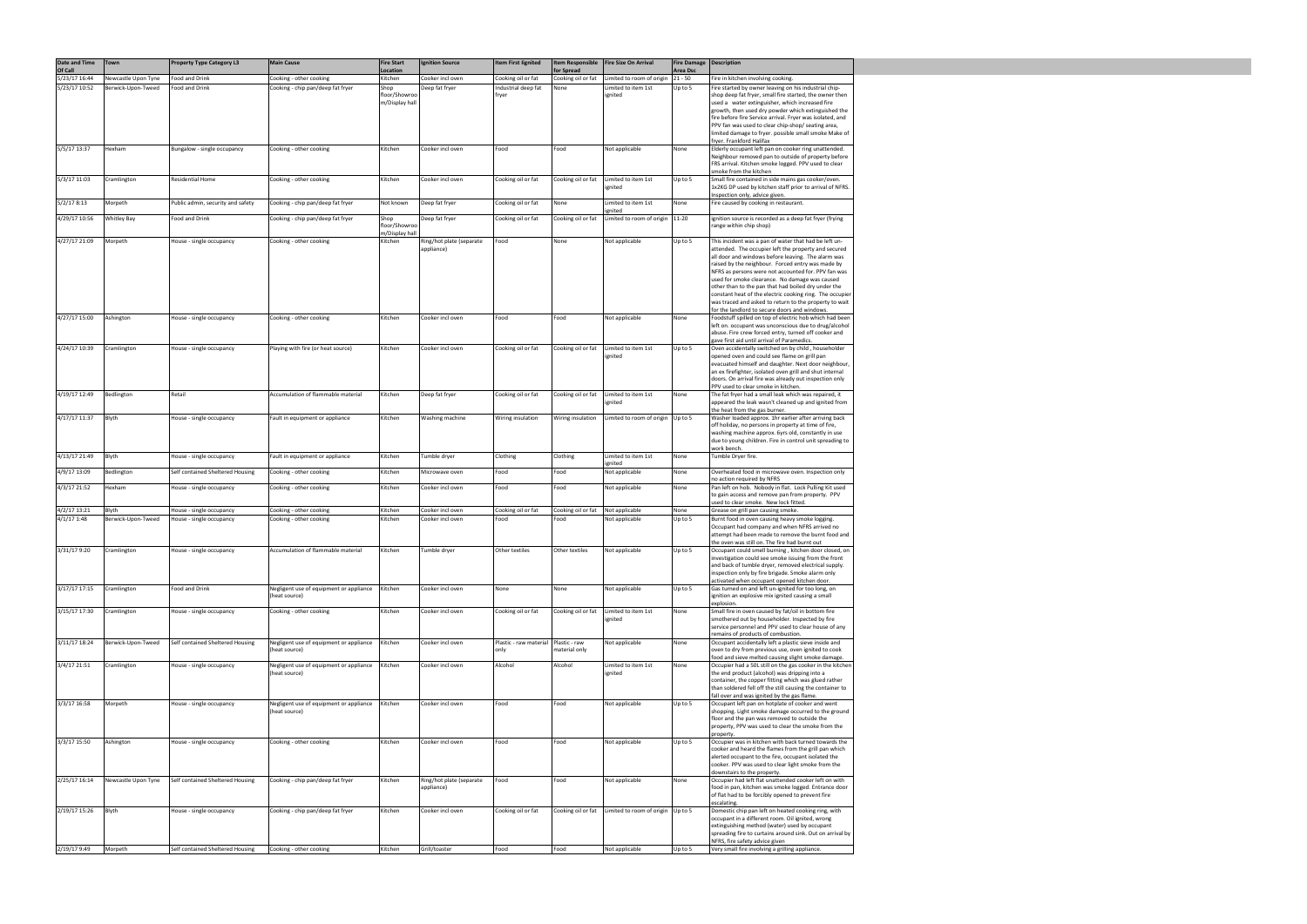| Date and Time            | <b>Town</b>         | <b>Property Type Category L3</b>  | <b>Main Cause</b>                                        | <b>Fire Start</b>               | <b>Ignition Source</b>                 | <b>Item First lignited</b>     | <b>Item Responsible</b>          | Fire Size On Arrival              | Fire Damage   Description |                                                                                                                                                                                                                                                                                                                                                                                                                                                                                                                                                                 |
|--------------------------|---------------------|-----------------------------------|----------------------------------------------------------|---------------------------------|----------------------------------------|--------------------------------|----------------------------------|-----------------------------------|---------------------------|-----------------------------------------------------------------------------------------------------------------------------------------------------------------------------------------------------------------------------------------------------------------------------------------------------------------------------------------------------------------------------------------------------------------------------------------------------------------------------------------------------------------------------------------------------------------|
| Of Call<br>5/23/17 16:44 | Newcastle Upon Tyne | Food and Drink                    | Cooking - other cooking                                  | Location<br>Kitchen             | Cooker incl oven                       | Cooking oil or fat             | for Spread<br>Cooking oil or fat | Limited to room of origin         | Area Dsc<br>$21 - 50$     | Fire in kitchen involving cooking.                                                                                                                                                                                                                                                                                                                                                                                                                                                                                                                              |
| 5/23/17 10:52            | Berwick-Upon-Tweed  | Food and Drink                    | Cooking - chip pan/deep fat fryer                        | Shop                            | Deep fat fryer                         | Industrial deep fat            | None                             | Limited to item 1st               | Up to 5                   | Fire started by owner leaving on his industrial chip-                                                                                                                                                                                                                                                                                                                                                                                                                                                                                                           |
|                          |                     |                                   |                                                          | floor/Showroo<br>m/Display hall |                                        | fryer                          |                                  | ignited                           |                           | shop deep fat fryer, small fire started, the owner then<br>used a water extinguisher, which increased fire<br>growth, then used dry powder which extinguished the<br>fire before fire Service arrival. Fryer was isolated, and<br>PPV fan was used to clear chip-shop/ seating area,<br>limited damage to fryer. possible small smoke Make of<br>fryer. Frankford Halifax                                                                                                                                                                                       |
| 5/5/17 13:37             | Hexham              | Bungalow - single occupancy       | Cooking - other cooking                                  | Kitchen                         | Cooker incl oven                       | Food                           | Food                             | Not applicable                    | None                      | Elderly occupant left pan on cooker ring unattended.<br>Neighbour removed pan to outside of property before<br>FRS arrival. Kitchen smoke logged. PPV used to clear<br>smoke from the kitchen                                                                                                                                                                                                                                                                                                                                                                   |
| 5/3/17 11:03             | Cramlington         | Residential Home                  | Cooking - other cooking                                  | Kitchen                         | Cooker incl oven                       | Cooking oil or fat             | Cooking oil or fat               | Limited to item 1st<br>ignited    | Up to 5                   | Small fire contained in side mains gas cooker/oven.<br>1x2KG DP used by kitchen staff prior to arrival of NFRS.<br>Inspection only, advice given.                                                                                                                                                                                                                                                                                                                                                                                                               |
| 5/2/178:13               | Morpeth             | Public admin, security and safety | Cooking - chip pan/deep fat fryer                        | Not known                       | Deep fat fryer                         | Cooking oil or fat             | None                             | Limited to item 1st<br>ignited    | None                      | Fire caused by cooking in restaurant.                                                                                                                                                                                                                                                                                                                                                                                                                                                                                                                           |
| 4/29/17 10:56            | <b>Whitley Bay</b>  | Food and Drink                    | Cooking - chip pan/deep fat fryer                        | Shop<br>floor/Showroo           | Deep fat fryer                         | Cooking oil or fat             | Cooking oil or fat               | Limited to room of origin   11-20 |                           | ignition source is recorded as a deep fat fryer (frying<br>range within chip shop)                                                                                                                                                                                                                                                                                                                                                                                                                                                                              |
| 4/27/17 21:09            | Morpeth             | House - single occupancy          | Cooking - other cooking                                  | m/Display hall<br>Kitchen       | Ring/hot plate (separate<br>appliance) | Food                           | None                             | Not applicable                    | Up to 5                   | This incident was a pan of water that had be left un-<br>attended. The occupier left the property and secured<br>all door and windows before leaving. The alarm was<br>raised by the neighbour. Forced entry was made by<br>NFRS as persons were not accounted for. PPV fan was<br>used for smoke clearance. No damage was caused<br>other than to the pan that had boiled dry under the<br>constant heat of the electric cooking ring. The occupier<br>was traced and asked to return to the property to wait<br>for the landlord to secure doors and windows. |
| 4/27/17 15:00            | Ashington           | House - single occupancy          | Cooking - other cooking                                  | Kitchen                         | Cooker incl oven                       | Food                           | Food                             | Not applicable                    | None                      | Foodstuff spilled on top of electric hob which had been<br>left on. occupant was unconscious due to drug/alcohol<br>abuse. Fire crew forced entry, turned off cooker and                                                                                                                                                                                                                                                                                                                                                                                        |
| 4/24/17 10:39            | Cramlington         | House - single occupancy          | Playing with fire (or heat source)                       | Kitchen                         | Cooker incl oven                       | Cooking oil or fat             | Cooking oil or fat               | Limited to item 1st<br>ignited    | Up to 5                   | gave first aid until arrival of Paramedics.<br>Oven accidentally switched on by child, householder<br>opened oven and could see flame on grill pan<br>evacuated himself and daughter. Next door neighbour,<br>an ex firefighter, isolated oven grill and shut internal<br>doors. On arrival fire was already out inspection only                                                                                                                                                                                                                                |
| 4/19/17 12:49            | Bedlington          | Retail                            | Accumulation of flammable material                       | Kitchen                         | Deep fat fryer                         | Cooking oil or fat             | Cooking oil or fat               | Limited to item 1st<br>ignited    | None                      | PPV used to clear smoke in kitchen.<br>The fat fryer had a small leak which was repaired, it<br>appeared the leak wasn't cleaned up and ignited from<br>the heat from the gas burner.                                                                                                                                                                                                                                                                                                                                                                           |
| 4/17/17 11:37            | Blyth               | House - single occupancy          | Fault in equipment or appliance                          | Kitchen                         | Washing machine                        | Wiring insulation              | Wiring insulation                | Limited to room of origin         | Up to 5                   | Washer loaded approx. 1hr earlier after arriving back<br>off holiday, no persons in property at time of fire,<br>washing machine approx. 6yrs old, constantly in use<br>due to young children. Fire in control unit spreading to<br>work bench.                                                                                                                                                                                                                                                                                                                 |
| 4/13/17 21:49            | Blyth               | House - single occupancy          | Fault in equipment or appliance                          | Kitchen                         | Tumble dryer                           | Clothing                       | Clothing                         | Limited to item 1st<br>ignited    | None                      | Tumble Dryer fire.                                                                                                                                                                                                                                                                                                                                                                                                                                                                                                                                              |
| 4/9/17 13:09             | Bedlington          | Self contained Sheltered Housing  | Cooking - other cooking                                  | Kitchen                         | Microwave oven                         | Food                           | Food                             | Not applicable                    | None                      | Overheated food in microwave oven. Inspection only<br>no action required by NFRS                                                                                                                                                                                                                                                                                                                                                                                                                                                                                |
| 4/3/17 21:52             | Hexham              | House - single occupancy          | Cooking - other cooking                                  | Kitchen                         | Cooker incl oven                       | Food                           | Food                             | Not applicable                    | None                      | Pan left on hob. Nobody in flat. Lock Pulling Kit used<br>to gain access and remove pan from property. PPV<br>used to clear smoke. New lock fitted.                                                                                                                                                                                                                                                                                                                                                                                                             |
| 4/2/17 13:21             | Blyth               | House - single occupancy          | Cooking - other cooking                                  | Kitchen                         | Cooker incl oven                       | Cooking oil or fat             | Cooking oil or fat               | Not applicable                    | None                      | Grease on grill pan causing smoke.                                                                                                                                                                                                                                                                                                                                                                                                                                                                                                                              |
| 4/1/171:38               | Berwick-Upon-Tweed  | House - single occupancy          | Cooking - other cooking                                  | Kitchen                         | Cooker incl oven                       | Food                           | Food                             | Not applicable                    | Up to 5                   | Burnt food in oven causing heavy smoke logging.<br>Occupant had company and when NFRS arrived no<br>attempt had been made to remove the burnt food and<br>the oven was still on. The fire had burnt out                                                                                                                                                                                                                                                                                                                                                         |
| 3/31/17 9:20             | Cramlington         | House - single occupancy          | Accumulation of flammable material                       | Kitchen                         | Tumble dryer                           | Other textiles                 | Other textiles                   | Not applicable                    | Up to 5                   | Occupant could smell burning, kitchen door closed, on<br>investigation could see smoke issuing from the front<br>and back of tumble dryer, removed electrical supply.<br>inspection only by fire brigade. Smoke alarm only<br>activated when occupant opened kitchen door.                                                                                                                                                                                                                                                                                      |
| 3/17/17 17:15            | Cramlington         | Food and Drink                    | Negligent use of equipment or appliance<br>(heat source) | Kitchen                         | Cooker incl oven                       | None                           | None                             | Not applicable                    | Up to 5                   | Gas turned on and left un-ignited for too long, on<br>ignition an explosive mix ignited causing a small<br>explosion.                                                                                                                                                                                                                                                                                                                                                                                                                                           |
| 3/15/17 17:30            | Cramlington         | House - single occupancy          | Cooking - other cooking                                  | Kitchen                         | Cooker incl oven                       | Cooking oil or fat             | Cooking oil or fat               | Limited to item 1st<br>ignited    | None                      | Small fire in oven caused by fat/oil in bottom fire<br>smothered out by householder. Inspected by fire<br>service personnel and PPV used to clear house of any<br>remains of products of combustion.                                                                                                                                                                                                                                                                                                                                                            |
| 3/11/17 18:24            | Berwick-Upon-Tweed  | Self contained Sheltered Housing  | Negligent use of equipment or appliance<br>(heat source) | Kitchen                         | Cooker incl oven                       | Plastic - raw material<br>only | Plastic - raw<br>material only   | Not applicable                    | None                      | Occupant accidentally left a plastic sieve inside and<br>oven to dry from previous use, oven ignited to cook<br>food and sieve melted causing slight smoke damage.                                                                                                                                                                                                                                                                                                                                                                                              |
| 3/4/17 21:51             | Cramlington         | House - single occupancy          | Negligent use of equipment or appliance<br>(heat source) | Kitchen                         | Cooker incl oven                       | Alcohol                        | Alcohol                          | Limited to item 1st<br>ignited    | None                      | Occupier had a 50L still on the gas cooker in the kitchen<br>the end product (alcohol) was dripping into a<br>container, the copper fitting which was glued rather<br>than soldered fell off the still causing the container to<br>fall over and was ignited by the gas flame.                                                                                                                                                                                                                                                                                  |
| 3/3/17 16:58             | Morpeth             | House - single occupancy          | Negligent use of equipment or appliance<br>(heat source) | Kitchen                         | Cooker incl oven                       | Food                           | Food                             | Not applicable                    | Up to 5                   | Occupant left pan on hotplate of cooker and went<br>shopping. Light smoke damage occurred to the ground<br>floor and the pan was removed to outside the<br>property, PPV was used to clear the smoke from the<br>property.                                                                                                                                                                                                                                                                                                                                      |
| 3/3/17 15:50             | Ashington           | House - single occupancy          | Cooking - other cooking                                  | Kitchen                         | Cooker incl oven                       | Food                           | Food                             | Not applicable                    | Up to 5                   | Occupier was in kitchen with back turned towards the<br>cooker and heard the flames from the grill pan which<br>alerted occupant to the fire, occupant isolated the<br>cooker. PPV was used to clear light smoke from the<br>downstairs to the property.                                                                                                                                                                                                                                                                                                        |
| 2/25/17 16:14            | Newcastle Upon Tyne | Self contained Sheltered Housing  | Cooking - chip pan/deep fat fryer                        | Kitchen                         | Ring/hot plate (separate<br>appliance) | Food                           | Food                             | Not applicable                    | None                      | Occupier had left flat unattended cooker left on with<br>food in pan, kitchen was smoke logged. Entrance door<br>of flat had to be forcibly opened to prevent fire                                                                                                                                                                                                                                                                                                                                                                                              |
| 2/19/17 15:26            | Blyth               | House - single occupancy          | Cooking - chip pan/deep fat fryer                        | Kitchen                         | Cooker incl oven                       | Cooking oil or fat             | Cooking oil or fat               | Limited to room of origin Up to 5 |                           | escalating.<br>Domestic chip pan left on heated cooking ring, with<br>occupant in a different room. Oil ignited, wrong<br>extinguishing method (water) used by occupant<br>spreading fire to curtains around sink. Out on arrival by                                                                                                                                                                                                                                                                                                                            |
| 2/19/17 9:49             | Morpeth             | Self contained Sheltered Housing  | Cooking - other cooking                                  | Kitchen                         | Grill/toaster                          | Food                           | Food                             | Not applicable                    | Up to 5                   | NFRS, fire safety advice given<br>Very small fire involving a grilling appliance.                                                                                                                                                                                                                                                                                                                                                                                                                                                                               |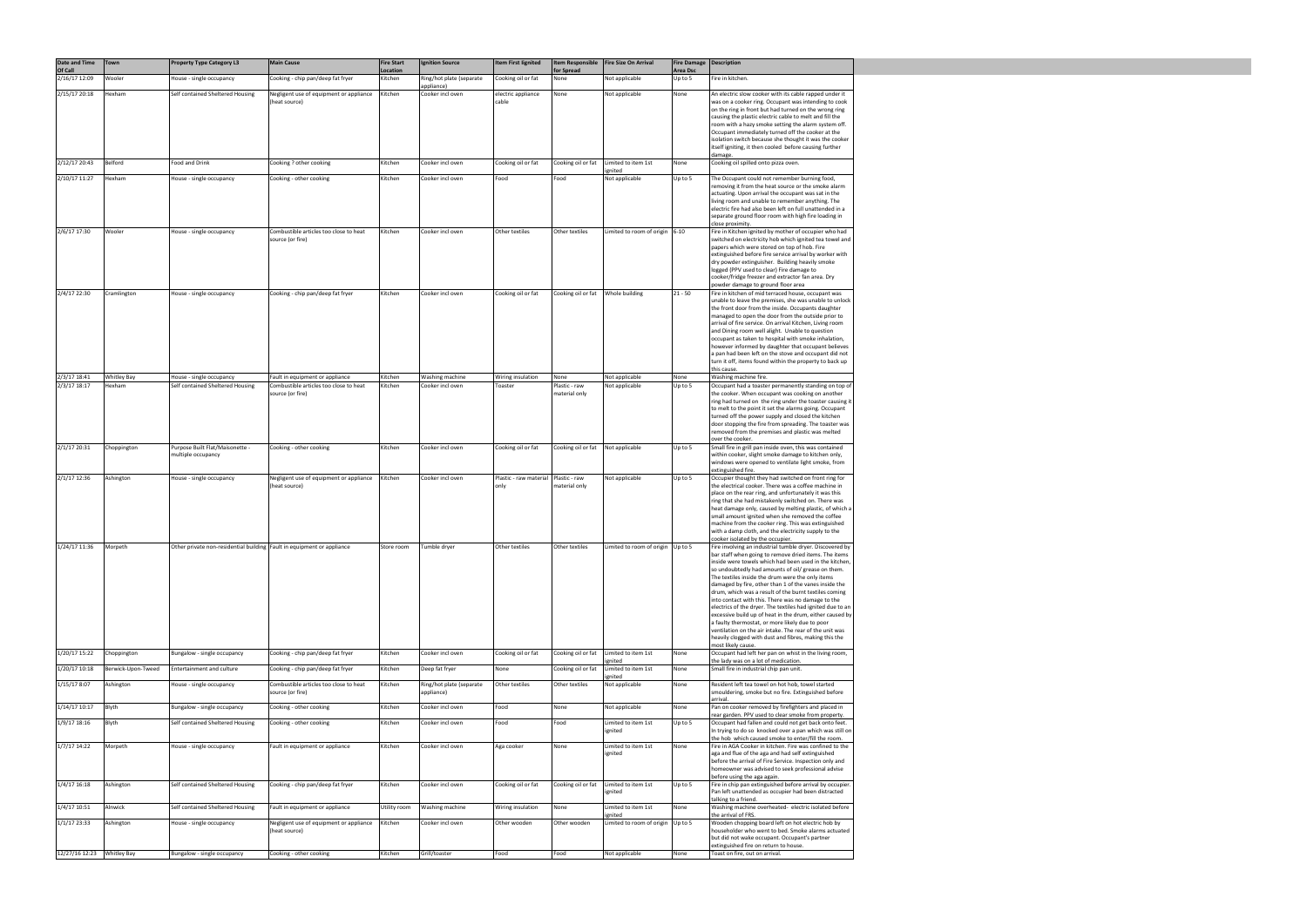| Date and Time<br>Of Call | Town               | <b>Property Type Category L3</b>                                       | <b>Main Cause</b>                                          | <b>Fire Start</b><br>Location | <b>Ignition Source</b>                 | Item First lignited            | for Spread                          | Item Responsible   Fire Size On Arrival | Fire Damage   Description<br><b>Area Dsc</b> |                                                                                                                                                                                                                                                                                                                                                                                                                                                                                                                                                                                                                                                                                                                                                                                      |
|--------------------------|--------------------|------------------------------------------------------------------------|------------------------------------------------------------|-------------------------------|----------------------------------------|--------------------------------|-------------------------------------|-----------------------------------------|----------------------------------------------|--------------------------------------------------------------------------------------------------------------------------------------------------------------------------------------------------------------------------------------------------------------------------------------------------------------------------------------------------------------------------------------------------------------------------------------------------------------------------------------------------------------------------------------------------------------------------------------------------------------------------------------------------------------------------------------------------------------------------------------------------------------------------------------|
| 2/16/17 12:09            | Wooler             | House - single occupancy                                               | Cooking - chip pan/deep fat fryer                          | Kitchen                       | Ring/hot plate (separate<br>appliance) | Cooking oil or fat             | None                                | Not applicable                          | Up to 5                                      | Fire in kitchen.                                                                                                                                                                                                                                                                                                                                                                                                                                                                                                                                                                                                                                                                                                                                                                     |
| 2/15/17 20:18            | Hexham             | Self contained Sheltered Housing                                       | Negligent use of equipment or appliance<br>(heat source)   | Kitchen                       | Cooker incl oven                       | electric appliance<br>cable    | None                                | Not applicable                          | None                                         | An electric slow cooker with its cable rapped under it<br>was on a cooker ring. Occupant was intending to cook<br>on the ring in front but had turned on the wrong ring<br>causing the plastic electric cable to melt and fill the<br>room with a hazy smoke setting the alarm system off.<br>Occupant immediately turned off the cooker at the<br>isolation switch because she thought it was the cooker<br>itself igniting, it then cooled before causing further<br>damage.                                                                                                                                                                                                                                                                                                       |
| 2/12/17 20:43            | Belford            | Food and Drink                                                         | Cooking ? other cooking                                    | Kitchen                       | Cooker incl oven                       | Cooking oil or fat             | Cooking oil or fat                  | Limited to item 1st                     | None                                         | Cooking oil spilled onto pizza oven.                                                                                                                                                                                                                                                                                                                                                                                                                                                                                                                                                                                                                                                                                                                                                 |
| 2/10/17 11:27            | Hexham             | House - single occupancy                                               | Cooking - other cooking                                    | Kitchen                       | Cooker incl oven                       | Food                           | Food                                | ignited<br>Not applicable               | Up to 5                                      | The Occupant could not remember burning food,<br>removing it from the heat source or the smoke alarm<br>actuating. Upon arrival the occupant was sat in the<br>living room and unable to remember anything. The<br>electric fire had also been left on full unattended in a<br>separate ground floor room with high fire loading in<br>close proximity.                                                                                                                                                                                                                                                                                                                                                                                                                              |
| 2/6/17 17:30             | Wooler             | House - single occupancy                                               | Combustible articles too close to heat<br>source (or fire) | Kitchen                       | Cooker incl oven                       | Other textiles                 | Other textiles                      | Limited to room of origin $ 6-10 $      |                                              | Fire in Kitchen ignited by mother of occupier who had<br>switched on electricity hob which ignited tea towel and<br>papers which were stored on top of hob. Fire<br>extinguished before fire service arrival by worker with<br>dry powder extinguisher. Building heavily smoke<br>logged (PPV used to clear) Fire damage to<br>cooker/fridge freezer and extractor fan area. Dry<br>powder damage to ground floor area                                                                                                                                                                                                                                                                                                                                                               |
| 2/4/17 22:30             | Cramlington        | House - single occupancy                                               | Cooking - chip pan/deep fat fryer                          | Kitchen                       | Cooker incl oven                       | Cooking oil or fat             | Cooking oil or fat                  | Whole building                          | $21 - 50$                                    | Fire in kitchen of mid terraced house, occupant was<br>unable to leave the premises, she was unable to unlock<br>the front door from the inside. Occupants daughter<br>managed to open the door from the outside prior to<br>arrival of fire service. On arrival Kitchen, Living room<br>and Dining room well alight. Unable to question<br>occupant as taken to hospital with smoke inhalation,<br>however informed by daughter that occupant believes<br>a pan had been left on the stove and occupant did not<br>turn it off, items found within the property to back up<br>this cause.                                                                                                                                                                                           |
| 2/3/17 18:41             | <b>Whitley Bay</b> | House - single occupancy                                               | Fault in equipment or appliance                            | Kitchen                       | Washing machine                        | Wiring insulation              | None                                | Not applicable                          | None                                         | Washing machine fire.                                                                                                                                                                                                                                                                                                                                                                                                                                                                                                                                                                                                                                                                                                                                                                |
| 2/3/17 18:17             | Hexham             | Self contained Sheltered Housing                                       | Combustible articles too close to heat<br>source (or fire) | Kitchen                       | Cooker incl oven                       | Toaster                        | Plastic - raw<br>material only      | Not applicable                          | Up to 5                                      | Occupant had a toaster permanently standing on top of<br>the cooker. When occupant was cooking on another<br>ring had turned on the ring under the toaster causing it<br>to melt to the point it set the alarms going. Occupant<br>turned off the power supply and closed the kitchen<br>door stopping the fire from spreading. The toaster was<br>removed from the premises and plastic was melted<br>over the cooker.                                                                                                                                                                                                                                                                                                                                                              |
| 2/1/17 20:31             | Choppington        | Purpose Built Flat/Maisonette -<br>multiple occupancy                  | Cooking - other cooking                                    | Kitchen                       | Cooker incl oven                       | Cooking oil or fat             | Cooking oil or fat   Not applicable |                                         | Up to 5                                      | Small fire in grill pan inside oven, this was contained<br>within cooker, slight smoke damage to kitchen only,<br>windows were opened to ventilate light smoke, from<br>extinguished fire.                                                                                                                                                                                                                                                                                                                                                                                                                                                                                                                                                                                           |
| 2/1/17 12:36             | Ashington          | House - single occupancy                                               | Negligent use of equipment or appliance<br>(heat source)   | Kitchen                       | Cooker incl oven                       | Plastic - raw material<br>only | Plastic - raw<br>material only      | Not applicable                          | Up to 5                                      | Occupier thought they had switched on front ring for<br>the electrical cooker. There was a coffee machine in<br>place on the rear ring, and unfortunately it was this<br>ring that she had mistakenly switched on. There was<br>heat damage only, caused by melting plastic, of which a<br>small amount ignited when she removed the coffee<br>machine from the cooker ring. This was extinguished<br>with a damp cloth, and the electricity supply to the<br>cooker isolated by the occupier.                                                                                                                                                                                                                                                                                       |
| 1/24/17 11:36            | Morpeth            | Other private non-residential building Fault in equipment or appliance |                                                            | Store room                    | Tumble dryer                           | Other textiles                 | Other textiles                      | Limited to room of origin $ Up$ to 5    |                                              | Fire involving an industrial tumble dryer. Discovered by<br>bar staff when going to remove dried items. The items<br>inside were towels which had been used in the kitchen,<br>so undoubtedly had amounts of oil/ grease on them.<br>The textiles inside the drum were the only items<br>damaged by fire, other than 1 of the vanes inside the<br>drum, which was a result of the burnt textiles coming<br>into contact with this. There was no damage to the<br>electrics of the dryer. The textiles had ignited due to an<br>excessive build up of heat in the drum, either caused by<br>a faulty thermostat, or more likely due to poor<br>ventilation on the air intake. The rear of the unit was<br>heavily clogged with dust and fibres, making this the<br>most likely cause. |
| 1/20/17 15:22            | Choppington        | Bungalow - single occupancy                                            | Cooking - chip pan/deep fat fryer                          | Kitchen                       | Cooker incl oven                       | Cooking oil or fat             | Cooking oil or fat                  | Limited to item 1st<br>gnited           | None                                         | Occupant had left her pan on whist in the living room,<br>the lady was on a lot of medication.                                                                                                                                                                                                                                                                                                                                                                                                                                                                                                                                                                                                                                                                                       |
| 1/20/17 10:18            | Berwick-Upon-Tweed | Entertainment and culture                                              | Cooking - chip pan/deep fat fryer                          | Kitchen                       | Deep fat fryer                         | None                           | Cooking oil or fat                  | Limited to item 1st<br>ignited          | None                                         | Small fire in industrial chip pan unit.                                                                                                                                                                                                                                                                                                                                                                                                                                                                                                                                                                                                                                                                                                                                              |
| 1/15/17 8:07             | Ashington          | House - single occupancy                                               | Combustible articles too close to heat<br>source (or fire) | Kitchen                       | Ring/hot plate (separate<br>appliance) | Other textiles                 | Other textiles                      | Not applicable                          | None                                         | Resident left tea towel on hot hob, towel started<br>smouldering, smoke but no fire. Extinguished before<br>arrival.                                                                                                                                                                                                                                                                                                                                                                                                                                                                                                                                                                                                                                                                 |
| 1/14/17 10:17            | Blyth              | Bungalow - single occupancy                                            | Cooking - other cooking                                    | Kitchen                       | Cooker incl oven                       | Food                           | None                                | Not applicable                          | None                                         | Pan on cooker removed by firefighters and placed in<br>rear garden. PPV used to clear smoke from property.                                                                                                                                                                                                                                                                                                                                                                                                                                                                                                                                                                                                                                                                           |
| 1/9/17 18:16             | Blyth              | Self contained Sheltered Housing                                       | Cooking - other cooking                                    | Kitchen                       | Cooker incl oven                       | Food                           | Food                                | Limited to item 1st<br>ignited          | Up to 5                                      | Occupant had fallen and could not get back onto feet.<br>In trying to do so knocked over a pan which was still on<br>the hob which caused smoke to enter/fill the room.                                                                                                                                                                                                                                                                                                                                                                                                                                                                                                                                                                                                              |
| 1/7/17 14:22             | Morpeth            | House - single occupancy                                               | Fault in equipment or appliance                            | Kitchen                       | Cooker incl oven                       | Aga cooker                     | None                                | Limited to item 1st<br>ignited          | None                                         | Fire in AGA Cooker in kitchen. Fire was confined to the<br>aga and flue of the aga and had self extinguished<br>before the arrival of Fire Service. Inspection only and<br>homeowner was advised to seek professional advise<br>before using the aga again.                                                                                                                                                                                                                                                                                                                                                                                                                                                                                                                          |
| $1/4/17$ 16:18           | Ashington          | Self contained Sheltered Housing                                       | Cooking - chip pan/deep fat fryer                          | Kitchen                       | Cooker incl oven                       | Cooking oil or fat             | Cooking oil or fat                  | Limited to item 1st<br>ignited          | Up to 5                                      | Fire in chip pan extinguished before arrival by occupier.<br>Pan left unattended as occupier had been distracted<br>talking to a friend.                                                                                                                                                                                                                                                                                                                                                                                                                                                                                                                                                                                                                                             |
| 1/4/17 10:51             | Alnwick            | Self contained Sheltered Housing                                       | Fault in equipment or appliance                            | Utility room                  | Washing machine                        | Wiring insulation              | None                                | Limited to item 1st<br>ignited          | None                                         | Washing machine overheated- electric isolated before<br>the arrival of FRS.                                                                                                                                                                                                                                                                                                                                                                                                                                                                                                                                                                                                                                                                                                          |
| $1/1/17$ 23:33           | Ashington          | House - single occupancy                                               | Negligent use of equipment or appliance<br>(heat source)   | Kitchen                       | Cooker incl oven                       | Other wooden                   | Other wooden                        | Limited to room of origin               | Up to 5                                      | Wooden chopping board left on hot electric hob by<br>householder who went to bed. Smoke alarms actuated<br>but did not wake occupant. Occupant's partner<br>extinguished fire on return to house.                                                                                                                                                                                                                                                                                                                                                                                                                                                                                                                                                                                    |
| 12/27/16 12:23           | <b>Whitley Bay</b> | Bungalow - single occupancy                                            | Cooking - other cooking                                    | Kitchen                       | Grill/toaster                          | Food                           | Food                                | Not applicable                          | None                                         | Toast on fire, out on arrival.                                                                                                                                                                                                                                                                                                                                                                                                                                                                                                                                                                                                                                                                                                                                                       |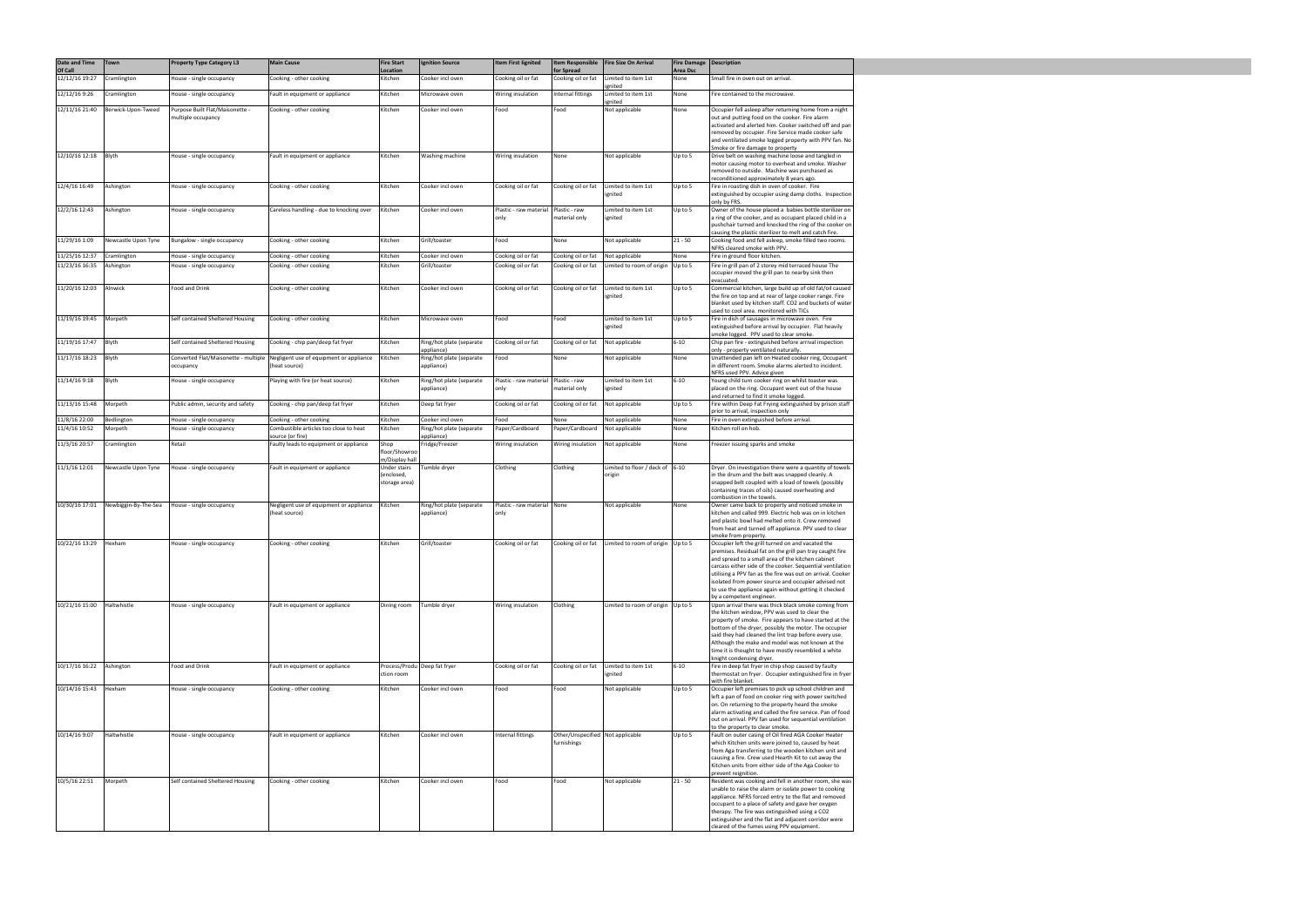| Date and Time<br>Of Call | Town                 | <b>Property Type Category L3</b>                  | <b>Main Cause</b>                                          | <b>Fire Start</b><br>Location   | <b>Ignition Source</b>                 | Item First lignited            | <b>Item Responsible</b><br>for Spread           | Fire Size On Arrival                 | <b>Fire Damage</b><br>Area Dsc | Description                                                                                                        |
|--------------------------|----------------------|---------------------------------------------------|------------------------------------------------------------|---------------------------------|----------------------------------------|--------------------------------|-------------------------------------------------|--------------------------------------|--------------------------------|--------------------------------------------------------------------------------------------------------------------|
| 12/12/16 19:27           | Cramlington          | House - single occupancy                          | Cooking - other cooking                                    | Kitchen                         | Cooker incl oven                       | Cooking oil or fat             | Cooking oil or fat                              | Limited to item 1st                  | None                           | Small fire in oven out on arrival.                                                                                 |
| 12/12/16 9:26            | Cramlington          | House - single occupancy                          | Fault in equipment or appliance                            | Kitchen                         | Microwave oven                         | Wiring insulation              | <b>Internal fittings</b>                        | gnited<br>Limited to item 1st        | None                           | Fire contained to the microwave.                                                                                   |
| 12/11/16 21:40           | Berwick-Upon-Tweed   | Purpose Built Flat/Maisonette -                   | Cooking - other cooking                                    | Kitchen                         | Cooker incl oven                       | Food                           | Food                                            | ignited<br>Not applicable            | None                           | Occupier fell asleep after returning home from a night                                                             |
|                          |                      | multiple occupancy                                |                                                            |                                 |                                        |                                |                                                 |                                      |                                | out and putting food on the cooker. Fire alarm<br>activated and alerted him. Cooker switched off and pan           |
|                          |                      |                                                   |                                                            |                                 |                                        |                                |                                                 |                                      |                                | removed by occupier. Fire Service made cooker safe<br>and ventilated smoke logged property with PPV fan. No        |
|                          |                      |                                                   |                                                            |                                 |                                        |                                |                                                 |                                      |                                | Smoke or fire damage to property                                                                                   |
| 12/10/16 12:18           | Blyth                | House - single occupancy                          | Fault in equipment or appliance                            | Kitchen                         | Washing machine                        | Wiring insulation              | None                                            | Not applicable                       | Up to 5                        | Drive belt on washing machine loose and tangled in<br>motor causing motor to overheat and smoke. Washer            |
|                          |                      |                                                   |                                                            |                                 |                                        |                                |                                                 |                                      |                                | removed to outside. Machine was purchased as<br>reconditioned approximately 8 years ago.                           |
| 12/4/16 16:49            | Ashington            | House - single occupancy                          | Cooking - other cooking                                    | Kitchen                         | Cooker incl oven                       | Cooking oil or fat             | Cooking oil or fat                              | Limited to item 1st<br>ignited       | Up to 5                        | Fire in roasting dish in oven of cooker. Fire<br>extinguished by occupier using damp cloths. Inspection            |
|                          |                      |                                                   |                                                            |                                 |                                        |                                |                                                 |                                      |                                | only by FRS.                                                                                                       |
| 12/2/16 12:43            | Ashington            | House - single occupancy                          | Careless handling - due to knocking over                   | Kitchen                         | Cooker incl oven                       | Plastic - raw material<br>only | Plastic - raw<br>material only                  | Limited to item 1st<br>ignited       | Up to 5                        | Owner of the house placed a babies bottle sterilizer on<br>a ring of the cooker, and as occupant placed child in a |
|                          |                      |                                                   |                                                            |                                 |                                        |                                |                                                 |                                      |                                | pushchair turned and knocked the ring of the cooker on<br>causing the plastic sterilizer to melt and catch fire.   |
| 11/29/16 1:09            | Newcastle Upon Tyne  | Bungalow - single occupancy                       | Cooking - other cooking                                    | Kitchen                         | Grill/toaster                          | Food                           | None                                            | Not applicable                       | $21 - 50$                      | Cooking food and fell asleep, smoke filled two rooms.<br>NFRS cleared smoke with PPV.                              |
| 11/25/16 12:37           | Cramlington          | House - single occupancy                          | Cooking - other cooking                                    | Kitchen                         | Cooker incl oven                       | Cooking oil or fat             | Cooking oil or fat                              | Not applicable                       | None                           | Fire in ground floor kitchen.                                                                                      |
| 11/23/16 16:35           | Ashington            | House - single occupancy                          | Cooking - other cooking                                    | Kitchen                         | Grill/toaster                          | Cooking oil or fat             | Cooking oil or fat                              | Limited to room of origin            | Up to 5                        | Fire in grill pan of 2 storey mid terraced house The<br>occupier moved the grill pan to nearby sink then           |
| 11/20/16 12:03           | Alnwick              | Food and Drink                                    | Cooking - other cooking                                    | Kitchen                         | Cooker incl oven                       | Cooking oil or fat             | Cooking oil or fat                              | Limited to item 1st                  | Up to 5                        | evacuated.<br>Commercial kitchen, large build up of old fat/oil caused                                             |
|                          |                      |                                                   |                                                            |                                 |                                        |                                |                                                 | ignited                              |                                | the fire on top and at rear of large cooker range. Fire                                                            |
|                          |                      |                                                   |                                                            |                                 |                                        |                                |                                                 |                                      |                                | blanket used by kitchen staff. CO2 and buckets of water<br>used to cool area. monitored with TICs                  |
| 11/19/16 19:45           | Morpeth              | Self contained Sheltered Housing                  | Cooking - other cooking                                    | Kitchen                         | Microwave oven                         | Food                           | Food                                            | Limited to item 1st<br>ignited       | Up to 5                        | Fire in dish of sausages in microwave oven. Fire<br>extinguished before arrival by occupier. Flat heavily          |
|                          |                      |                                                   |                                                            |                                 |                                        |                                |                                                 |                                      | $6 - 10$                       | smoke logged. PPV used to clear smoke.                                                                             |
| 11/19/16 17:47           | Blyth                | Self contained Sheltered Housing                  | Cooking - chip pan/deep fat fryer                          | Kitchen                         | Ring/hot plate (separate<br>appliance) | Cooking oil or fat             | Cooking oil or fat                              | Not applicable                       |                                | Chip pan fire - extinguished before arrival inspection<br>only - property ventilated naturally.                    |
| 11/17/16 18:23           | Blyth                | Converted Flat/Maisonette - multiple<br>occupancy | Negligent use of equipment or appliance<br>(heat source)   | Kitchen                         | Ring/hot plate (separate<br>appliance) | Food                           | None                                            | Not applicable                       | None                           | Unattended pan left on Heated cooker ring, Occupant<br>in different room. Smoke alarms alerted to incident.        |
| 11/14/16 9:18            | Blyth                | House - single occupancy                          | Playing with fire (or heat source)                         | Kitchen                         | Ring/hot plate (separate               | Plastic - raw material         | Plastic - raw                                   | Limited to item 1st                  | $6 - 10$                       | NFRS used PPV. Advice given<br>Young child turn cooker ring on whilst toaster was                                  |
|                          |                      |                                                   |                                                            |                                 | appliance)                             | only                           | material only                                   | ignited                              |                                | placed on the ring. Occupant went out of the house                                                                 |
| 11/13/16 15:48           | Morpeth              | Public admin, security and safety                 | Cooking - chip pan/deep fat fryer                          | Kitchen                         | Deep fat fryer                         | Cooking oil or fat             | Cooking oil or fat                              | Not applicable                       | Up to 5                        | and returned to find it smoke logged.<br>Fire within Deep Fat Frying extinguished by prison staff                  |
| 11/8/16 22:00            | Bedlington           | House - single occupancy                          | Cooking - other cooking                                    | Kitchen                         | Cooker incl oven                       | Food                           | None                                            | Not applicable                       | None                           | prior to arrival, inspection only<br>Fire in oven extinguished before arrival.                                     |
| 11/4/16 10:52            | Morpeth              | House - single occupancy                          | Combustible articles too close to heat                     | Kitchen                         | Ring/hot plate (separate               | Paper/Cardboard                | Paper/Cardboard                                 | Not applicable                       | None                           | Kitchen roll on hob.                                                                                               |
| 11/3/16 20:57            | Cramlington          | Retail                                            | source (or fire)<br>Faulty leads to equipment or appliance | Shop                            | appliance)<br>Fridge/Freezer           | Wiring insulation              | Wiring insulation                               | Not applicable                       | None                           | Freezer issuing sparks and smoke                                                                                   |
|                          |                      |                                                   |                                                            | floor/Showroo<br>m/Display hall |                                        |                                |                                                 |                                      |                                |                                                                                                                    |
| 11/1/16 12:01            | Newcastle Upon Tyne  | House - single occupancy                          | Fault in equipment or appliance                            | Under stairs<br>(enclosed,      | Tumble dryer                           | Clothing                       | Clothing                                        | Limited to floor / deck of<br>origin | $6 - 10$                       | Dryer. On investigation there were a quantity of towels<br>in the drum and the belt was snapped cleanly. A         |
|                          |                      |                                                   |                                                            | storage area)                   |                                        |                                |                                                 |                                      |                                | snapped belt coupled with a load of towels (possibly                                                               |
|                          |                      |                                                   |                                                            |                                 |                                        |                                |                                                 |                                      |                                | containing traces of oils) caused overheating and<br>combustion in the towels.                                     |
| 10/30/16 17:01           | Newbiggin-By-The-Sea | House - single occupancy                          | Negligent use of equipment or appliance<br>(heat source)   | Kitchen                         | Ring/hot plate (separate<br>appliance) | Plastic - raw material<br>only | None                                            | Not applicable                       | None                           | Owner came back to property and noticed smoke in<br>kitchen and called 999. Electric hob was on in kitchen         |
|                          |                      |                                                   |                                                            |                                 |                                        |                                |                                                 |                                      |                                | and plastic bowl had melted onto it. Crew removed<br>from heat and turned off appliance. PPV used to clear         |
|                          |                      |                                                   |                                                            |                                 |                                        |                                |                                                 |                                      |                                | smoke from property.                                                                                               |
| 10/22/16 13:29           | Hexham               | House - single occupancy                          | Cooking - other cooking                                    | Kitchen                         | Grill/toaster                          | Cooking oil or fat             | Cooking oil or fat                              | Limited to room of origin Up to 5    |                                | Occupier left the grill turned on and vacated the<br>premises. Residual fat on the grill pan tray caught fire      |
|                          |                      |                                                   |                                                            |                                 |                                        |                                |                                                 |                                      |                                | and spread to a small area of the kitchen cabinet<br>carcass either side of the cooker. Sequential ventilation     |
|                          |                      |                                                   |                                                            |                                 |                                        |                                |                                                 |                                      |                                | utilising a PPV fan as the fire was out on arrival. Cooker<br>isolated from power source and occupier advised not  |
|                          |                      |                                                   |                                                            |                                 |                                        |                                |                                                 |                                      |                                | to use the appliance again without getting it checked<br>by a competent engineer.                                  |
| 10/21/16 15:00           | Haltwhistle          | House - single occupancy                          | Fault in equipment or appliance                            | Dining room                     | Tumble dryer                           | Wiring insulation              | Clothing                                        | Limited to room of origin $ Up$ to 5 |                                | Upon arrival there was thick black smoke coming from                                                               |
|                          |                      |                                                   |                                                            |                                 |                                        |                                |                                                 |                                      |                                | the kitchen window, PPV was used to clear the<br>property of smoke. Fire appears to have started at the            |
|                          |                      |                                                   |                                                            |                                 |                                        |                                |                                                 |                                      |                                | bottom of the dryer, possibly the motor. The occupier<br>said they had cleaned the lint trap before every use.     |
|                          |                      |                                                   |                                                            |                                 |                                        |                                |                                                 |                                      |                                | Although the make and model was not known at the<br>time it is thought to have mostly resembled a white            |
|                          |                      |                                                   |                                                            |                                 |                                        |                                |                                                 |                                      |                                | knight condensing dryer.                                                                                           |
| 10/17/16 16:22           | Ashington            | Food and Drink                                    | Fault in equipment or appliance                            | ction room                      | Process/Produ Deep fat fryer           | Cooking oil or fat             | Cooking oil or fat                              | Limited to item 1st<br>ignited       | $6 - 10$                       | Fire in deep fat fryer in chip shop caused by faulty<br>thermostat on fryer. Occupier extinguished fire in fryer   |
| 10/14/16 15:43           | Hexham               | House - single occupancy                          | Cooking - other cooking                                    | Kitchen                         | Cooker incl oven                       | Food                           | Food                                            | Not applicable                       | Up to 5                        | with fire blanket.<br>Occupier left premises to pick up school children and                                        |
|                          |                      |                                                   |                                                            |                                 |                                        |                                |                                                 |                                      |                                | left a pan of food on cooker ring with power switched                                                              |
|                          |                      |                                                   |                                                            |                                 |                                        |                                |                                                 |                                      |                                | on. On returning to the property heard the smoke<br>alarm activating and called the fire service. Pan of food      |
|                          |                      |                                                   |                                                            |                                 |                                        |                                |                                                 |                                      |                                | out on arrival. PPV fan used for sequential ventilation<br>to the property to clear smoke.                         |
| 10/14/16 9:07            | Haltwhistle          | House - single occupancy                          | Fault in equipment or appliance                            | Kitchen                         | Cooker incl oven                       | Internal fittings              | Other/Unspecified Not applicable<br>furnishings |                                      | Up to 5                        | Fault on outer casing of Oil fired AGA Cooker Heater<br>which Kitchen units were joined to, caused by heat         |
|                          |                      |                                                   |                                                            |                                 |                                        |                                |                                                 |                                      |                                | from Aga transferring to the wooden kitchen unit and                                                               |
|                          |                      |                                                   |                                                            |                                 |                                        |                                |                                                 |                                      |                                | causing a fire. Crew used Hearth Kit to cut away the<br>Kitchen units from either side of the Aga Cooker to        |
| 10/5/16 22:51            | Morpeth              | Self contained Sheltered Housing                  | Cooking - other cooking                                    | Kitchen                         | Cooker incl oven                       | Food                           | Food                                            | Not applicable                       | $21 - 50$                      | prevent reignition.<br>Resident was cooking and fell in another room, she was                                      |
|                          |                      |                                                   |                                                            |                                 |                                        |                                |                                                 |                                      |                                | unable to raise the alarm or isolate power to cooking<br>appliance. NFRS forced entry to the flat and removed      |
|                          |                      |                                                   |                                                            |                                 |                                        |                                |                                                 |                                      |                                | occupant to a place of safety and gave her oxygen                                                                  |
|                          |                      |                                                   |                                                            |                                 |                                        |                                |                                                 |                                      |                                | therapy. The fire was extinguished using a CO2<br>extinguisher and the flat and adjacent corridor were             |
|                          |                      |                                                   |                                                            |                                 |                                        |                                |                                                 |                                      |                                | cleared of the fumes using PPV equipment.                                                                          |

<u> 1989 - Andrea Stadt Britain, amerikansk politiker (d. 1989)</u>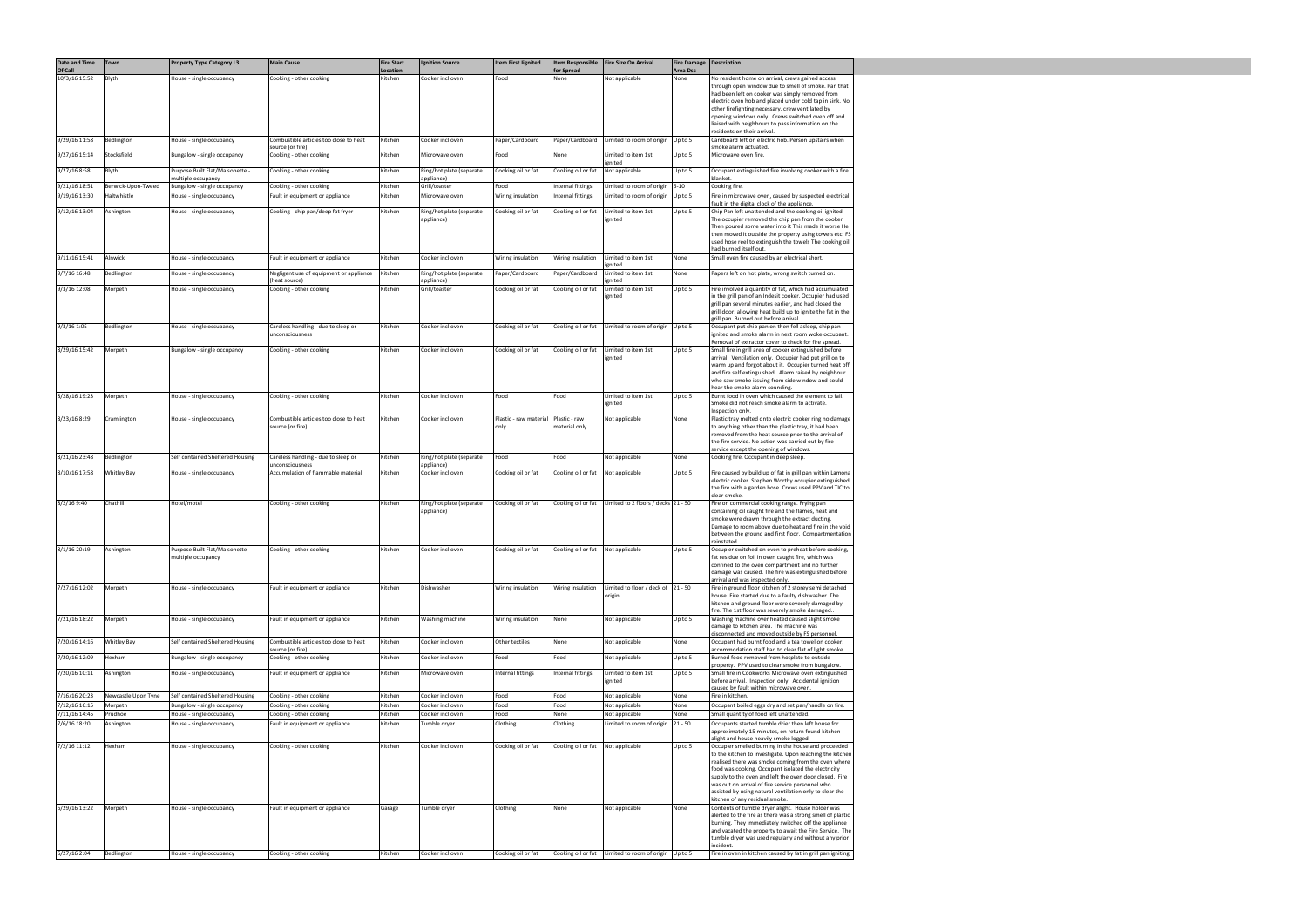| Date and Time                 | Town                | <b>Property Type Category L3</b>                        | <b>Main Cause</b>                                          | <b>Fire Start</b>   | <b>Ignition Source</b>                 | <b>Item First lignited</b>     | Item Responsible                             | <b>Fire Size On Arrival</b>                          | <b>Fire Damage   Description</b> |                                                                                                                                                                                                                                                                                                                                                                                                                                                                                    |
|-------------------------------|---------------------|---------------------------------------------------------|------------------------------------------------------------|---------------------|----------------------------------------|--------------------------------|----------------------------------------------|------------------------------------------------------|----------------------------------|------------------------------------------------------------------------------------------------------------------------------------------------------------------------------------------------------------------------------------------------------------------------------------------------------------------------------------------------------------------------------------------------------------------------------------------------------------------------------------|
| Of Call<br>10/3/16 15:52      | Blyth               | House - single occupancy                                | Cooking - other cooking                                    | Location<br>Kitchen | Cooker incl oven                       | Food                           | for Spread<br>None                           | Not applicable                                       | <b>Area Dsc</b><br>None          | No resident home on arrival, crews gained access<br>through open window due to smell of smoke. Pan that<br>had been left on cooker was simply removed from<br>electric oven hob and placed under cold tap in sink. No<br>other firefighting necessary, crew ventilated by<br>opening windows only. Crews switched oven off and<br>liaised with neighbours to pass information on the<br>residents on their arrival.                                                                |
| 9/29/16 11:58                 | Bedlington          | House - single occupancy                                | Combustible articles too close to heat                     | Kitchen             | Cooker incl oven                       | Paper/Cardboard                | Paper/Cardboard                              | Limited to room of origin Up to 5                    |                                  | Cardboard left on electric hob. Person upstairs when                                                                                                                                                                                                                                                                                                                                                                                                                               |
| 9/27/16 15:14                 | Stocksfield         | Bungalow - single occupancy                             | source (or fire)<br>Cooking - other cooking                | Kitchen             | Microwave oven                         | Food                           | None                                         | Limited to item 1st                                  | Up to 5                          | smoke alarm actuated.<br>Microwave oven fire.                                                                                                                                                                                                                                                                                                                                                                                                                                      |
| 9/27/16 8:58                  | Blyth               | Purpose Built Flat/Maisonette -                         | Cooking - other cooking                                    | Kitchen             | Ring/hot plate (separate               | Cooking oil or fat             | Cooking oil or fat                           | enited<br>Not applicable                             | Up to 5                          | Occupant extinguished fire involving cooker with a fire                                                                                                                                                                                                                                                                                                                                                                                                                            |
| 9/21/16 18:51                 | Berwick-Upon-Tweed  | multiple occupancy                                      | Cooking - other cooking                                    | Kitchen             | appliance)<br>Grill/toaster            | Food                           | Internal fittings                            | Limited to room of origin                            | $6 - 10$                         | blanket.<br>Cooking fire.                                                                                                                                                                                                                                                                                                                                                                                                                                                          |
| 9/19/16 13:30                 | Haltwhistle         | Bungalow - single occupancy<br>House - single occupancy | Fault in equipment or appliance                            | Kitchen             | Microwave oven                         | Wiring insulation              | Internal fittings                            | Limited to room of origin                            | Up to 5                          | Fire in microwave oven, caused by suspected electrical                                                                                                                                                                                                                                                                                                                                                                                                                             |
| 9/12/16 13:04                 | Ashington           | House - single occupancy                                | Cooking - chip pan/deep fat fryer                          | Kitchen             | Ring/hot plate (separate<br>appliance) | Cooking oil or fat             | Cooking oil or fat                           | Limited to item 1st<br>ignited                       | Up to 5                          | fault in the digital clock of the appliance.<br>Chip Pan left unattended and the cooking oil ignited.<br>The occupier removed the chip pan from the cooker<br>Then poured some water into it This made it worse He<br>then moved it outside the property using towels etc. FS<br>used hose reel to extinguish the towels The cooking oil<br>had burned itself out.                                                                                                                 |
| 9/11/16 15:41                 | Alnwick             | House - single occupancy                                | Fault in equipment or appliance                            | Kitchen             | Cooker incl oven                       | Wiring insulation              | Wiring insulation                            | Limited to item 1st                                  | None                             | Small oven fire caused by an electrical short.                                                                                                                                                                                                                                                                                                                                                                                                                                     |
| 9/7/16 16:48                  | Bedlington          | House - single occupancy                                | Negligent use of equipment or appliance                    | Kitchen             | Ring/hot plate (separate               | Paper/Cardboard                | Paper/Cardboard                              | gnited<br>Limited to item 1st                        | None                             | Papers left on hot plate, wrong switch turned on.                                                                                                                                                                                                                                                                                                                                                                                                                                  |
| 9/3/16 12:08                  | Morpeth             | House - single occupancy                                | heat source)<br>Cooking - other cooking                    | Kitchen             | appliance)<br>Grill/toaster            | Cooking oil or fat             | Cooking oil or fat                           | gnited<br>Limited to item 1st                        | Up to 5                          | Fire involved a quantity of fat, which had accumulated                                                                                                                                                                                                                                                                                                                                                                                                                             |
|                               |                     |                                                         |                                                            |                     |                                        |                                |                                              | ignited                                              |                                  | in the grill pan of an Indesit cooker. Occupier had used<br>grill pan several minutes earlier, and had closed the<br>grill door, allowing heat build up to ignite the fat in the<br>grill pan. Burned out before arrival.                                                                                                                                                                                                                                                          |
| 9/3/16 1:05                   | Bedlington          | House - single occupancy                                | Careless handling - due to sleep or<br>unconsciousness     | Kitchen             | Cooker incl oven                       | Cooking oil or fat             | Cooking oil or fat                           | Limited to room of origin                            | Up to 5                          | Occupant put chip pan on then fell asleep, chip pan<br>ignited and smoke alarm in next room woke occupant.                                                                                                                                                                                                                                                                                                                                                                         |
| 8/29/16 15:42                 | Morpeth             | Bungalow - single occupancy                             | Cooking - other cooking                                    | Kitchen             | Cooker incl oven                       | Cooking oil or fat             | Cooking oil or fat                           | Limited to item 1st<br>ignited                       | Up to 5                          | Removal of extractor cover to check for fire spread.<br>Small fire in grill area of cooker extinguished before<br>arrival. Ventilation only. Occupier had put grill on to<br>warm up and forgot about it. Occupier turned heat off<br>and fire self extinguished. Alarm raised by neighbour<br>who saw smoke issuing from side window and could                                                                                                                                    |
| 8/28/16 19:23                 | Morpeth             | House - single occupancy                                | Cooking - other cooking                                    | Kitchen             | Cooker incl oven                       | Food                           | Food                                         | Limited to item 1st<br>ignited                       | Up to 5                          | hear the smoke alarm sounding.<br>Burnt food in oven which caused the element to fail.<br>Smoke did not reach smoke alarm to activate.                                                                                                                                                                                                                                                                                                                                             |
| 8/23/16 8:29                  | Cramlington         | House - single occupancy                                | Combustible articles too close to heat<br>source (or fire) | Kitchen             | Cooker incl oven                       | Plastic - raw material<br>only | Plastic - raw<br>material only               | Not applicable                                       | None                             | Inspection only.<br>Plastic tray melted onto electric cooker ring no damage<br>to anything other than the plastic tray, it had been<br>removed from the heat source prior to the arrival of<br>the fire service. No action was carried out by fire<br>service except the opening of windows.                                                                                                                                                                                       |
| 8/21/16 23:48                 | Bedlington          | Self contained Sheltered Housing                        | Careless handling - due to sleep or                        | Kitchen             | Ring/hot plate (separate               | Food                           | Food                                         | Not applicable                                       | None                             | Cooking fire. Occupant in deep sleep.                                                                                                                                                                                                                                                                                                                                                                                                                                              |
| 8/10/16 17:58                 | Whitley Bay         | House - single occupancy                                | unconsciousness<br>Accumulation of flammable material      | Kitchen             | appliance)<br>Cooker incl oven         | Cooking oil or fat             | Cooking oil or fat                           | Not applicable                                       | Up to 5                          | Fire caused by build up of fat in grill pan within Lamona<br>electric cooker. Stephen Worthy occupier extinguished<br>the fire with a garden hose. Crews used PPV and TIC to<br>clear smoke.                                                                                                                                                                                                                                                                                       |
| 8/2/16 9:40                   | Chathill            | Hotel/motel                                             | Cooking - other cooking                                    | Kitchen             | Ring/hot plate (separate<br>appliance) | Cooking oil or fat             | Cooking oil or fat                           | Limited to 2 floors / decks 21 - 50                  |                                  | Fire on commercial cooking range. Frying pan<br>containing oil caught fire and the flames, heat and<br>smoke were drawn through the extract ducting.<br>Damage to room above due to heat and fire in the void<br>between the ground and first floor. Compartmentation<br>reinstated.                                                                                                                                                                                               |
| 8/1/16 20:19 Ashington        |                     | Purpose Built Flat/Maisonette -<br>multiple occupancy   | Cooking - other cooking                                    | Kitchen             | Cooker incl oven                       | l Cooking oil or fat           | $ $ Cooking oil or $f$ at $ $ Not applicable |                                                      | Up to 5                          | Occupier switched on oven to preheat before cooking,<br>fat residue on foil in oven caught fire, which was<br>confined to the oven compartment and no further<br>damage was caused. The fire was extinguished before<br>arrival and was inspected only.                                                                                                                                                                                                                            |
| 7/27/16 12:02                 | Morpeth             | House - single occupancy                                | Fault in equipment or appliance                            | Kitchen             | Dishwasher                             | Wiring insulation              | Wiring insulation                            | Limited to floor / deck of $\vert$ 21 - 50<br>origin |                                  | Fire in ground floor kitchen of 2 storey semi detached<br>house. Fire started due to a faulty dishwasher. The<br>kitchen and ground floor were severely damaged by<br>fire. The 1st floor was severely smoke damaged                                                                                                                                                                                                                                                               |
| 7/21/16 18:22                 | Morpeth             | House - single occupancy                                | Fault in equipment or appliance                            | Kitchen             | Washing machine                        | Wiring insulation              | None                                         | Not applicable                                       | Up to 5                          | Washing machine over heated caused slight smoke<br>damage to kitchen area. The machine was<br>disconnected and moved outside by FS personnel.                                                                                                                                                                                                                                                                                                                                      |
| 7/20/16 14:16                 | <b>Whitley Bay</b>  | Self contained Sheltered Housing                        | Combustible articles too close to heat<br>source (or fire) | Kitchen             | Cooker incl oven                       | Other textiles                 | None                                         | Not applicable                                       | None                             | Occupant had burnt food and a tea towel on cooker,<br>accommodation staff had to clear flat of light smoke.                                                                                                                                                                                                                                                                                                                                                                        |
| 7/20/16 12:09                 | Hexham              | Bungalow - single occupancy                             | Cooking - other cooking                                    | Kitchen             | Cooker incl oven                       | Food                           | Food                                         | Not applicable                                       | Up to 5                          | Burned food removed from hotplate to outside<br>property. PPV used to clear smoke from bungalow.                                                                                                                                                                                                                                                                                                                                                                                   |
| 7/20/16 10:11                 | Ashington           | House - single occupancy                                | Fault in equipment or appliance                            | Kitchen             | Microwave oven                         | Internal fittings              | Internal fittings                            | Limited to item 1st<br>ignited                       | Up to 5                          | Small fire in Cookworks Microwave oven extinguished<br>before arrival. Inspection only. Accidental ignition<br>caused by fault within microwave oven.                                                                                                                                                                                                                                                                                                                              |
| 7/16/16 20:23                 | Newcastle Upon Tyne | Self contained Sheltered Housing                        | Cooking - other cooking                                    | Kitchen             | Cooker incl oven                       | Food                           | Food                                         | Not applicable                                       | None                             | Fire in kitchen.                                                                                                                                                                                                                                                                                                                                                                                                                                                                   |
| 7/12/16 16:15                 | Morpeth<br>Prudhoe  | Bungalow - single occupancy                             | Cooking - other cooking                                    | Kitchen             | Cooker incl oven                       | Food                           | Food                                         | Not applicable                                       | None                             | Occupant boiled eggs dry and set pan/handle on fire.                                                                                                                                                                                                                                                                                                                                                                                                                               |
| 7/11/16 14:45<br>7/6/16 18:20 | Ashington           | House - single occupancy<br>House - single occupancy    | Cooking - other cooking<br>Fault in equipment or appliance | Kitchen<br>Kitchen  | Cooker incl oven<br>Tumble dryer       | Food<br>Clothing               | None<br>Clothing                             | Not applicable<br>Limited to room of origin          | None<br>$21 - 50$                | Small quantity of food left unattended.<br>Occupants started tumble drier then left house for                                                                                                                                                                                                                                                                                                                                                                                      |
|                               |                     |                                                         |                                                            |                     |                                        |                                |                                              |                                                      |                                  | approximately 15 minutes, on return found kitchen                                                                                                                                                                                                                                                                                                                                                                                                                                  |
| 7/2/16 11:12                  | Hexham              | House - single occupancy                                | Cooking - other cooking                                    | Kitchen             | Cooker incl oven                       | Cooking oil or fat             | Cooking oil or fat                           | Not applicable                                       | Up to 5                          | alight and house heavily smoke logged.<br>Occupier smelled burning in the house and proceeded<br>to the kitchen to investigate. Upon reaching the kitchen<br>realised there was smoke coming from the oven where<br>food was cooking. Occupant isolated the electricity<br>supply to the oven and left the oven door closed. Fire<br>was out on arrival of fire service personnel who<br>assisted by using natural ventilation only to clear the<br>kitchen of any residual smoke. |
| 6/29/16 13:22                 | Morpeth             | House - single occupancy                                | Fault in equipment or appliance                            | Garage              | Tumble dryer                           | Clothing                       | None                                         | Not applicable                                       | None                             | Contents of tumble dryer alight. House holder was<br>alerted to the fire as there was a strong smell of plastic<br>burning. They immediately switched off the appliance<br>and vacated the property to await the Fire Service. The<br>tumble dryer was used regularly and without any prior<br>incident.                                                                                                                                                                           |
| 6/27/16 2:04                  | Bedlington          | House - single occupancy                                | Cooking - other cooking                                    | Kitchen             | Cooker incl oven                       | Cooking oil or fat             | Cooking oil or fat                           | Limited to room of origin Up to 5                    |                                  | Fire in oven in kitchen caused by fat in grill pan igniting.                                                                                                                                                                                                                                                                                                                                                                                                                       |